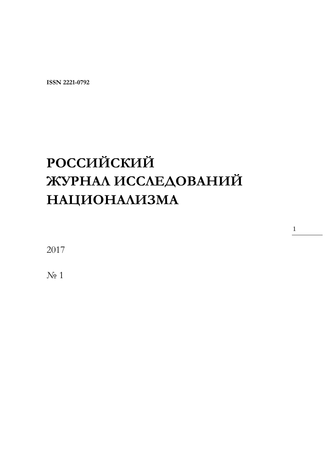**ISSN 2221-0792** 

# **РОССИЙСКИЙ ЖУРНАЛ ИССЛЕДОВАНИЙ НАЦИОНАЛИЗМА**

1

2017

N<sub>o</sub> 1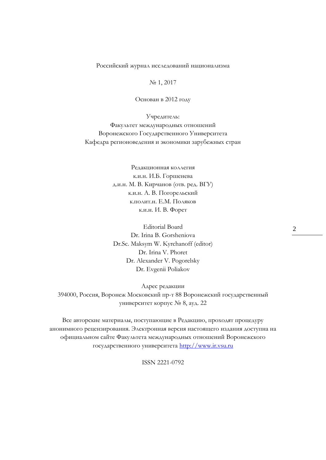Российский журнал исследований национализма

№ 1, 2017

Основан в 2012 году

Учредитель: Факультет международных отношений Воронежского Государственного Университета Кафедра регионоведения и экономики зарубежных стран

> Редакционная коллегия к.и.н. И.Б. Горшенева д.и.н. М. В. Кирчанов (отв. ред. ВГУ) к.и.н. А. В. Погорельский к.полит.н. Е.М. Поляков к.и.н. И. В. Форет

> Editorial Board Dr. Irina B. Gorsheniova Dr.Sc. Maksym W. Kyrchanoff (editor) Dr. Irina V. Phoret Dr. Alexander V. Pogorelsky Dr. Evgenii Poliakov

Адрес редакции 394000, Россия, Воронеж Московский пр-т 88 Воронежский государственный университет корпус № 8, ауд. 22

Все авторские материалы, поступающие в Редакцию, проходят процедуру анонимного рецензирования. Электронная версия настоящего издания доступна на официальном сайте Факультета международных отношений Воронежского государственного университета [http://www.ir.vsu.ru](http://www.ir.vsu.ru/)

ISSN 2221-0792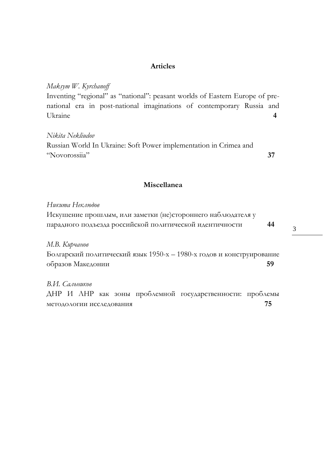#### **Articles**

*Maksym W. Kyrchanoff*

Inventing "regional" as "national": peasant worlds of Eastern Europe of prenational era in post-national imaginations of contemporary Russia and Ukraine **4**

#### *Nikita Nekliudov*

Russian World In Ukraine: Soft Power implementation in Crimea and "Novorossiia" **37**

#### **Miscellanea**

*Никита Неклюдов*  Искушение прошлым, или заметки (не)стороннего наблюдателя у парадного подъезда российской политической идентичности **44**

*М.В. Кирчанов*

Болгарский политический язык 1950-х – 1980-х годов и конструирование образов Македонии **59**

*В.И. Сальников*  ДНР И ЛНР как зоны проблемной государственности: проблемы методологии исследования **75**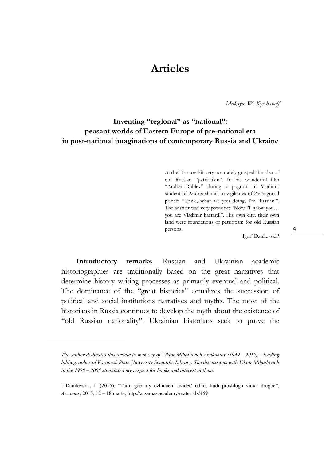## **Articles**

*Maksym W. Kyrchanoff* 

### **Inventing "regional" as "national": peasant worlds of Eastern Europe of pre-national era in post-national imaginations of contemporary Russia and Ukraine**

Andrei Tarkovskii very accurately grasped the idea of old Russian "patriotism". In his wonderful film "Andrei Rublev" during a pogrom in Vladimir student of Andrei shouts to vigilantes of Zvenigorod prince: "Uncle, what are you doing, I'm Russian!". The answer was very patriotic: "Now I'll show you... you are Vladimir bastard!". His own city, their own land were foundations of patriotism for old Russian persons.

Igor' Danilevskii<sup>1</sup>

**Introductory remarks**. Russian and Ukrainian academic historiographies are traditionally based on the great narratives that determine history writing processes as primarily eventual and political. The dominance of the "great histories" actualizes the succession of political and social institutions narratives and myths. The most of the historians in Russia continues to develop the myth about the existence of "old Russian nationality". Ukrainian historians seek to prove the

*The author dedicates this article to memory of Viktor Mihailovich Abakumov (1949 – 2015) – leading bibliographer of Voronezh State University Scientific Library. The discussions with Viktor Mihailovich in the 1998 – 2005 stimulated my respect for books and interest in them.*

<sup>&</sup>lt;sup>1</sup> Danilevskii, I. (2015). "Tam, gde my ozhidaem uvidet' odno, liudi proshlogo vidiat drugoe", *Arzamas*, 2015, 12 – 18 marta,<http://arzamas.academy/materials/469>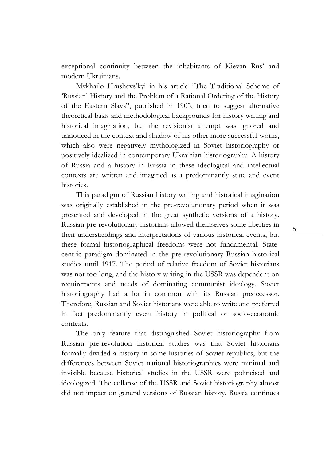exceptional continuity between the inhabitants of Kievan Rus' and modern Ukrainians.

Mykhailo Hrushevs'kyi in his article "The Traditional Scheme of 'Russian' History and the Problem of a Rational Ordering of the History of the Eastern Slavs", published in 1903, tried to suggest alternative theoretical basis and methodological backgrounds for history writing and historical imagination, but the revisionist attempt was ignored and unnoticed in the context and shadow of his other more successful works, which also were negatively mythologized in Soviet historiography or positively idealized in contemporary Ukrainian historiography. A history of Russia and a history in Russia in these ideological and intellectual contexts are written and imagined as a predominantly state and event histories.

This paradigm of Russian history writing and historical imagination was originally established in the pre-revolutionary period when it was presented and developed in the great synthetic versions of a history. Russian pre-revolutionary historians allowed themselves some liberties in their understandings and interpretations of various historical events, but these formal historiographical freedoms were not fundamental. Statecentric paradigm dominated in the pre-revolutionary Russian historical studies until 1917. The period of relative freedom of Soviet historians was not too long, and the history writing in the USSR was dependent on requirements and needs of dominating communist ideology. Soviet historiography had a lot in common with its Russian predecessor. Therefore, Russian and Soviet historians were able to write and preferred in fact predominantly event history in political or socio-economic contexts.

The only feature that distinguished Soviet historiography from Russian pre-revolution historical studies was that Soviet historians formally divided a history in some histories of Soviet republics, but the differences between Soviet national historiographies were minimal and invisible because historical studies in the USSR were politicised and ideologized. The collapse of the USSR and Soviet historiography almost did not impact on general versions of Russian history. Russia continues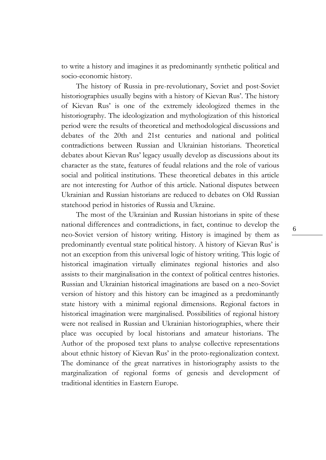to write a history and imagines it as predominantly synthetic political and socio-economic history.

The history of Russia in pre-revolutionary, Soviet and post-Soviet historiographies usually begins with a history of Kievan Rus'. The history of Kievan Rus' is one of the extremely ideologized themes in the historiography. The ideologization and mythologization of this historical period were the results of theoretical and methodological discussions and debates of the 20th and 21st centuries and national and political contradictions between Russian and Ukrainian historians. Theoretical debates about Kievan Rus' legacy usually develop as discussions about its character as the state, features of feudal relations and the role of various social and political institutions. These theoretical debates in this article are not interesting for Author of this article. National disputes between Ukrainian and Russian historians are reduced to debates on Old Russian statehood period in histories of Russia and Ukraine.

The most of the Ukrainian and Russian historians in spite of these national differences and contradictions, in fact, continue to develop the neo-Soviet version of history writing. History is imagined by them as predominantly eventual state political history. A history of Kievan Rus' is not an exception from this universal logic of history writing. This logic of historical imagination virtually eliminates regional histories and also assists to their marginalisation in the context of political centres histories. Russian and Ukrainian historical imaginations are based on a neo-Soviet version of history and this history can be imagined as a predominantly state history with a minimal regional dimensions. Regional factors in historical imagination were marginalised. Possibilities of regional history were not realised in Russian and Ukrainian historiographies, where their place was occupied by local historians and amateur historians. The Author of the proposed text plans to analyse collective representations about ethnic history of Kievan Rus' in the proto-regionalization context. The dominance of the great narratives in historiography assists to the marginalization of regional forms of genesis and development of traditional identities in Eastern Europe.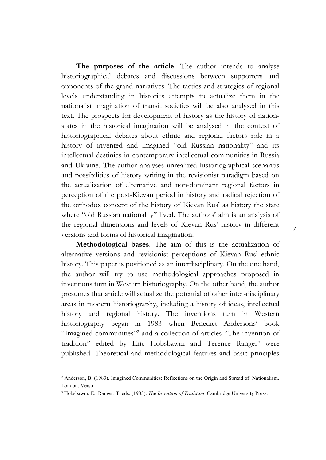**The purposes of the article**. The author intends to analyse historiographical debates and discussions between supporters and opponents of the grand narratives. The tactics and strategies of regional levels understanding in histories attempts to actualize them in the nationalist imagination of transit societies will be also analysed in this text. The prospects for development of history as the history of nationstates in the historical imagination will be analysed in the context of historiographical debates about ethnic and regional factors role in a history of invented and imagined "old Russian nationality" and its intellectual destinies in contemporary intellectual communities in Russia and Ukraine. The author analyses unrealized historiographical scenarios and possibilities of history writing in the revisionist paradigm based on the actualization of alternative and non-dominant regional factors in perception of the post-Kievan period in history and radical rejection of the orthodox concept of the history of Kievan Rus' as history the state where "old Russian nationality" lived. The authors' aim is an analysis of the regional dimensions and levels of Kievan Rus' history in different versions and forms of historical imagination.

**Methodological bases**. The aim of this is the actualization of alternative versions and revisionist perceptions of Kievan Rus' ethnic history. This paper is positioned as an interdisciplinary. On the one hand, the author will try to use methodological approaches proposed in inventions turn in Western historiography. On the other hand, the author presumes that article will actualize the potential of other inter-disciplinary areas in modern historiography, including a history of ideas, intellectual history and regional history. The inventions turn in Western historiography began in 1983 when Benedict Andersons' book "Imagined communities"<sup>2</sup> and a collection of articles "The invention of tradition" edited by Eric Hobsbawm and Terence Ranger<sup>3</sup> were published. Theoretical and methodological features and basic principles

<sup>&</sup>lt;sup>2</sup> Anderson, B. (1983). Imagined Communities: Reflections on the Origin and Spread of Nationalism. London: Verso

<sup>3</sup> Hobsbawm, E., Ranger, T. eds. (1983). *The Invention of Tradition*. Cambridge University Press.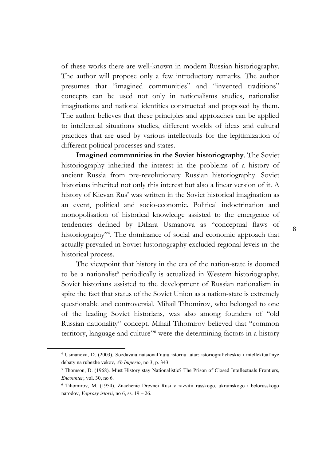of these works there are well-known in modern Russian historiography. The author will propose only a few introductory remarks. The author presumes that "imagined communities" and "invented traditions" concepts can be used not only in nationalisms studies, nationalist imaginations and national identities constructed and proposed by them. The author believes that these principles and approaches can be applied to intellectual situations studies, different worlds of ideas and cultural practices that are used by various intellectuals for the legitimization of different political processes and states.

**Imagined communities in the Soviet historiography**. The Soviet historiography inherited the interest in the problems of a history of ancient Russia from pre-revolutionary Russian historiography. Soviet historians inherited not only this interest but also a linear version of it. A history of Kievan Rus' was written in the Soviet historical imagination as an event, political and socio-economic. Political indoctrination and monopolisation of historical knowledge assisted to the emergence of tendencies defined by Diliara Usmanova as "conceptual flaws of historiography"<sup>4</sup> . The dominance of social and economic approach that actually prevailed in Soviet historiography excluded regional levels in the historical process.

The viewpoint that history in the era of the nation-state is doomed to be a nationalist<sup>5</sup> periodically is actualized in Western historiography. Soviet historians assisted to the development of Russian nationalism in spite the fact that status of the Soviet Union as a nation-state is extremely questionable and controversial. Mihail Tihomirov, who belonged to one of the leading Soviet historians, was also among founders of "old Russian nationality" concept. Mihail Tihomirov believed that "common territory, language and culture"<sup>6</sup> were the determining factors in a history

1

<sup>4</sup> Usmanova, D. (2003). Sozdavaia natsional'nuiu istoriiu tatar: istoriograficheskie i intellektual'nye debaty na rubezhe vekov, *Ab Imperio*, no 3, p. 343.

<sup>&</sup>lt;sup>5</sup> Thomson, D. (1968). Must History stay Nationalistic? The Prison of Closed Intellectuals Frontiers, *Encounter*, vol. 30, no 6.

<sup>6</sup> Tihomirov, M. (1954). Znachenie Drevnei Rusi v razvitii russkogo, ukrainskogo i belorusskogo narodov, *Voprosy istorii*, no 6, ss. 19 – 26.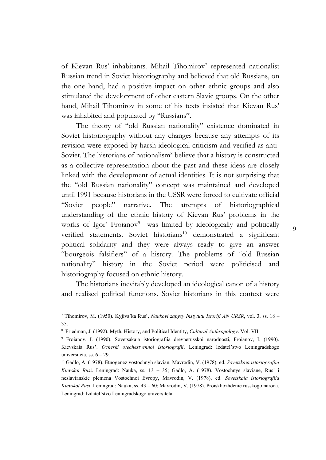of Kievan Rus' inhabitants. Mihail Tihomirov<sup>7</sup> represented nationalist Russian trend in Soviet historiography and believed that old Russians, on the one hand, had a positive impact on other ethnic groups and also stimulated the development of other eastern Slavic groups. On the other hand, Mihail Tihomirov in some of his texts insisted that Kievan Rus' was inhabited and populated by "Russians".

The theory of "old Russian nationality" existence dominated in Soviet historiography without any changes because any attempts of its revision were exposed by harsh ideological criticism and verified as anti-Soviet. The historians of nationalism<sup>8</sup> believe that a history is constructed as a collective representation about the past and these ideas are closely linked with the development of actual identities. It is not surprising that the "old Russian nationality" concept was maintained and developed until 1991 because historians in the USSR were forced to cultivate official "Soviet people" narrative. The attempts of historiographical understanding of the ethnic history of Kievan Rus' problems in the works of Igor' Froianov<sup>9</sup> was limited by ideologically and politically verified statements. Soviet historians<sup>10</sup> demonstrated a significant political solidarity and they were always ready to give an answer "bourgeois falsifiers" of a history. The problems of "old Russian nationality" history in the Soviet period were politicised and historiography focused on ethnic history.

The historians inevitably developed an ideological canon of a history and realised political functions. Soviet historians in this context were

<u>.</u>

 $\overline{Q}$ 

<sup>7</sup> Tihomirov, M. (1950). Kyjivs'ka Rus', *Naukovi zapysy Instytutu Istoriji AN URSR*, vol. 3, ss. 18 – 35.

<sup>8</sup> Friedman, J. (1992). Myth, History, and Political Identity, *Cultural Anthropology*. Vol. VII.

<sup>9</sup> Froianov, I. (1990). Sovetsakaia istoriografiia drevnerusskoi narodnosti, Froianov, I. (1990). Kievskaia Rus'. *Ocherki otechestvennoi istoriografii*. Leningrad: Izdatel'stvo Leningradskogo universiteta, ss.  $6 - 29$ .

<sup>10</sup> Gadlo, A. (1978). Etnogenez vostochnyh slavian, Mavrodin, V. (1978), ed. *Sovetskaia istoriografiia Kievskoi Rusi*. Leningrad: Nauka, ss. 13 – 35; Gadlo, A. (1978). Vostochnye slaviane, Rus' i neslavianskie plemena Vostochnoi Evropy, Mavrodin, V. (1978), ed. *Sovetskaia istoriografiia Kievskoi Rusi*. Leningrad: Nauka, ss. 43 – 60; Mavrodin, V. (1978). Proiskhozhdenie russkogo naroda. Leningrad: Izdatel'stvo Leningradskogo universiteta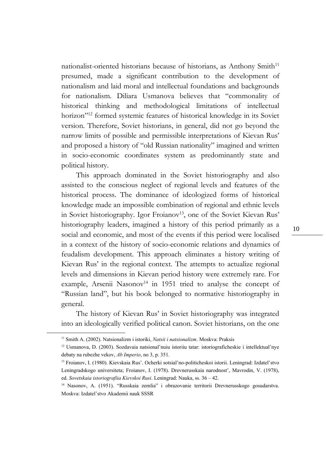nationalist-oriented historians because of historians, as Anthony Smith<sup>11</sup> presumed, made a significant contribution to the development of nationalism and laid moral and intellectual foundations and backgrounds for nationalism. Diliara Usmanova believes that "commonality of historical thinking and methodological limitations of intellectual horizon"<sup>12</sup> formed systemic features of historical knowledge in its Soviet version. Therefore, Soviet historians, in general, did not go beyond the narrow limits of possible and permissible interpretations of Kievan Rus' and proposed a history of "old Russian nationality" imagined and written in socio-economic coordinates system as predominantly state and political history.

This approach dominated in the Soviet historiography and also assisted to the conscious neglect of regional levels and features of the historical process. The dominance of ideologized forms of historical knowledge made an impossible combination of regional and ethnic levels in Soviet historiography. Igor Froianov<sup>13</sup>, one of the Soviet Kievan Rus' historiography leaders, imagined a history of this period primarily as a social and economic, and most of the events if this period were localised in a context of the history of socio-economic relations and dynamics of feudalism development. This approach eliminates a history writing of Kievan Rus' in the regional context. The attempts to actualize regional levels and dimensions in Kievan period history were extremely rare. For example, Arsenii Nasonov<sup>14</sup> in 1951 tried to analyse the concept of "Russian land", but his book belonged to normative historiography in general.

The history of Kievan Rus' in Soviet historiography was integrated into an ideologically verified political canon. Soviet historians, on the one

<sup>11</sup> Smith A. (2002). Natsionalizm i istoriki, *Natsii i natsionalizm*. Moskva: Praksis

<sup>12</sup> Usmanova, D. (2003). Sozdavaia natsional'nuiu istoriiu tatar: istoriograficheskie i intellektual'nye debaty na rubezhe vekov, *Ab Imperio*, no 3, p. 351.

<sup>13</sup> Froianov, I. (1980). Kievskaia Rus'. Ocherki sotsial'no-politicheskoi istorii. Leningrad: Izdatel'stvo Leningradskogo universiteta; Froianov, I. (1978). Drevnerusskaia narodnost', Mavrodin, V. (1978), ed. *Sovetskaia istoriografiia Kievskoi Rusi*. Leningrad: Nauka, ss. 36 – 42.

<sup>&</sup>lt;sup>14</sup> Nasonov, A. (1951). "Russkaia zemlia" i obrazovanie territorii Drevnerusskogo gosudarstva. Moskva: Izdatel'stvo Akademii nauk SSSR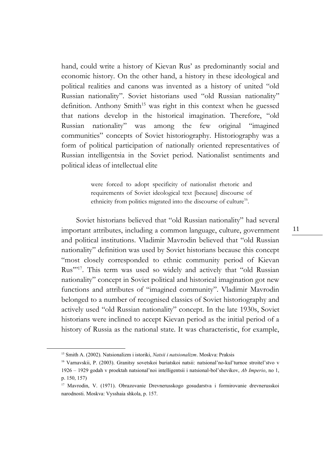hand, could write a history of Kievan Rus' as predominantly social and economic history. On the other hand, a history in these ideological and political realities and canons was invented as a history of united "old Russian nationality". Soviet historians used "old Russian nationality" definition. Anthony Smith<sup>15</sup> was right in this context when he guessed that nations develop in the historical imagination. Therefore, "old Russian nationality" was among the few original "imagined communities" concepts of Soviet historiography. Historiography was a form of political participation of nationally oriented representatives of Russian intelligentsia in the Soviet period. Nationalist sentiments and political ideas of intellectual elite

> were forced to adopt specificity of nationalist rhetoric and requirements of Soviet ideological text [because] discourse of ethnicity from politics migrated into the discourse of culture<sup>16</sup>.

Soviet historians believed that "old Russian nationality" had several important attributes, including a common language, culture, government and political institutions. Vladimir Mavrodin believed that "old Russian nationality" definition was used by Soviet historians because this concept "most closely corresponded to ethnic community period of Kievan Rus"<sup>17</sup>. This term was used so widely and actively that "old Russian" nationality" concept in Soviet political and historical imagination got new functions and attributes of "imagined community". Vladimir Mavrodin belonged to a number of recognised classics of Soviet historiography and actively used "old Russian nationality" concept. In the late 1930s, Soviet historians were inclined to accept Kievan period as the initial period of a history of Russia as the national state. It was characteristic, for example,

1

<sup>15</sup> Smith A. (2002). Natsionalizm i istoriki, *Natsii i natsionalizm*. Moskva: Praksis

<sup>16</sup> Varnavskii, P. (2003). Granitsy sovetskoi buriatskoi natsii: natsional'no-kul'turnoe stroitel'stvo v 1926 – 1929 godah v proektah natsional'noi intelligentsii i natsional-bol'shevikov, *Ab Imperio*, no 1, p. 150, 157)

<sup>&</sup>lt;sup>17</sup> Mavrodin, V. (1971). Obrazovanie Drevnerusskogo gosudarstva i formirovanie drevnerusskoi narodnosti. Moskva: Vysshaia shkola, p. 157.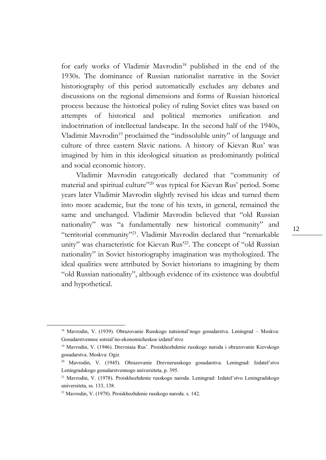for early works of Vladimir Mavrodin<sup>18</sup> published in the end of the 1930s. The dominance of Russian nationalist narrative in the Soviet historiography of this period automatically excludes any debates and discussions on the regional dimensions and forms of Russian historical process because the historical policy of ruling Soviet elites was based on attempts of historical and political memories unification and indoctrination of intellectual landscape. In the second half of the 1940s, Vladimir Mavrodin<sup>19</sup> proclaimed the "indissoluble unity" of language and culture of three eastern Slavic nations. A history of Kievan Rus' was imagined by him in this ideological situation as predominantly political and social economic history.

Vladimir Mavrodin categorically declared that "community of material and spiritual culture"<sup>20</sup> was typical for Kievan Rus' period. Some years later Vladimir Mavrodin slightly revised his ideas and turned them into more academic, but the tone of his texts, in general, remained the same and unchanged. Vladimir Mavrodin believed that "old Russian nationality" was "a fundamentally new historical community" and "territorial community"<sup>21</sup>. Vladimir Mavrodin declared that "remarkable unity" was characteristic for Kievan Rus'<sup>22</sup>. The concept of "old Russian nationality" in Soviet historiography imagination was mythologized. The ideal qualities were attributed by Soviet historians to imagining by them "old Russian nationality", although evidence of its existence was doubtful and hypothetical.

<sup>18</sup> Mavrodin, V. (1939). Obrazovanie Russkogo natsional'nogo gosudarstva. Leningrad – Moskva: Gosudarstvennoe sotsial'no-ekonomicheskoe izdatel'stvo

<sup>&</sup>lt;sup>19</sup> Mavrodin, V. (1946). Drevniaia Rus'. Proiskhozhdenie russkogo naroda i obrazovanie Kievskogo gosudarstva. Moskva: Ogiz

<sup>20</sup> Mavrodin, V. (1945). Obrazovanie Drevnerusskogo gosudarstva. Leningrad: Izdatel'stvo Leningradskogo gosudarstvennogo universiteta, p. 395.

<sup>21</sup> Mavrodin, V. (1978). Proiskhozhdenie russkogo naroda. Leningrad: Izdatel'stvo Leningradskogo universiteta, ss. 133, 138.

<sup>22</sup> Mavrodin, V. (1978). Proiskhozhdenie russkogo naroda. s. 142.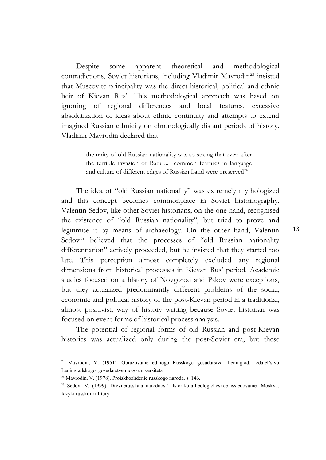Despite some apparent theoretical and methodological contradictions, Soviet historians, including Vladimir Mavrodin<sup>23</sup> insisted that Muscovite principality was the direct historical, political and ethnic heir of Kievan Rus'. This methodological approach was based on ignoring of regional differences and local features, excessive absolutization of ideas about ethnic continuity and attempts to extend imagined Russian ethnicity on chronologically distant periods of history. Vladimir Mavrodin declared that

> the unity of old Russian nationality was so strong that even after the terrible invasion of Batu ... common features in language and culture of different edges of Russian Land were preserved $24$

The idea of "old Russian nationality" was extremely mythologized and this concept becomes commonplace in Soviet historiography. Valentin Sedov, like other Soviet historians, on the one hand, recognised the existence of "old Russian nationality", but tried to prove and legitimise it by means of archaeology. On the other hand, Valentin Sedov<sup>25</sup> believed that the processes of "old Russian nationality differentiation" actively proceeded, but he insisted that they started too late. This perception almost completely excluded any regional dimensions from historical processes in Kievan Rus' period. Academic studies focused on a history of Novgorod and Pskov were exceptions, but they actualized predominantly different problems of the social, economic and political history of the post-Kievan period in a traditional, almost positivist, way of history writing because Soviet historian was focused on event forms of historical process analysis.

The potential of regional forms of old Russian and post-Kievan histories was actualized only during the post-Soviet era, but these

<u>.</u>

<sup>23</sup> Mavrodin, V. (1951). Obrazovanie edinogo Russkogo gosudarstva. Leningrad: Izdatel'stvo Leningradskogo gosudarstvennogo universiteta

<sup>24</sup> Mavrodin, V. (1978). Proiskhozhdenie russkogo naroda. s. 146.

<sup>25</sup> Sedov, V. (1999). Drevnerusskaia narodnost'. Istoriko-arheologicheskoe issledovanie. Moskva: Iazyki russkoi kul'tury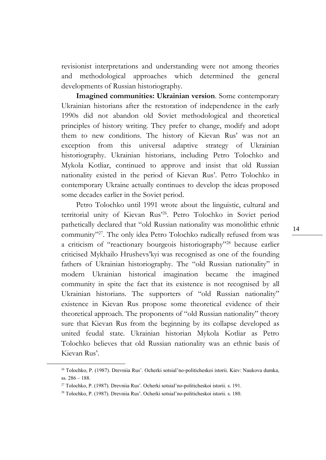revisionist interpretations and understanding were not among theories and methodological approaches which determined the general developments of Russian historiography.

**Imagined communities: Ukrainian version**. Some contemporary Ukrainian historians after the restoration of independence in the early 1990s did not abandon old Soviet methodological and theoretical principles of history writing. They prefer to change, modify and adopt them to new conditions. The history of Kievan Rus' was not an exception from this universal adaptive strategy of Ukrainian historiography. Ukrainian historians, including Petro Tolochko and Mykola Kotliar, continued to approve and insist that old Russian nationality existed in the period of Kievan Rus'. Petro Tolochko in contemporary Ukraine actually continues to develop the ideas proposed some decades earlier in the Soviet period.

Petro Tolochko until 1991 wrote about the linguistic, cultural and territorial unity of Kievan Rus'<sup>26</sup>. Petro Tolochko in Soviet period pathetically declared that "old Russian nationality was monolithic ethnic community"<sup>27</sup>. The only idea Petro Tolochko radically refused from was a criticism of "reactionary bourgeois historiography"<sup>28</sup> because earlier criticised Mykhailo Hrushevs'kyi was recognised as one of the founding fathers of Ukrainian historiography. The "old Russian nationality" in modern Ukrainian historical imagination became the imagined community in spite the fact that its existence is not recognised by all Ukrainian historians. The supporters of "old Russian nationality" existence in Kievan Rus propose some theoretical evidence of their theoretical approach. The proponents of "old Russian nationality" theory sure that Kievan Rus from the beginning by its collapse developed as united feudal state. Ukrainian historian Mykola Kotliar as Petro Tolochko believes that old Russian nationality was an ethnic basis of Kievan Rus'.

<sup>26</sup> Tolochko, P. (1987). Drevniia Rus'. Ocherki sotsial'no-politicheskoi istorii. Kiev: Naukova dumka, ss. 286 – 188.

<sup>27</sup> Tolochko, P. (1987). Drevniia Rus'. Ocherki sotsial'no-politicheskoi istorii. s. 191.

<sup>28</sup> Tolochko, P. (1987). Drevniia Rus'. Ocherki sotsial'no-politicheskoi istorii. s. 180.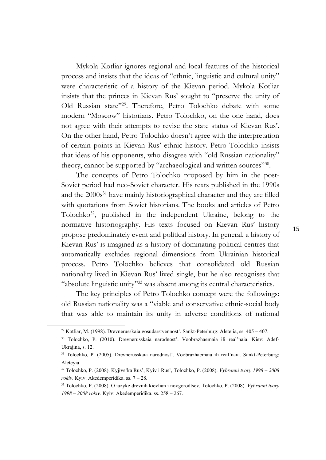Mykola Kotliar ignores regional and local features of the historical process and insists that the ideas of "ethnic, linguistic and cultural unity" were characteristic of a history of the Kievan period. Mykola Kotliar insists that the princes in Kievan Rus' sought to "preserve the unity of Old Russian state"<sup>29</sup>. Therefore, Petro Tolochko debate with some modern "Moscow" historians. Petro Tolochko, on the one hand, does not agree with their attempts to revise the state status of Kievan Rus'. On the other hand, Petro Tolochko doesn't agree with the interpretation of certain points in Kievan Rus' ethnic history. Petro Tolochko insists that ideas of his opponents, who disagree with "old Russian nationality" theory, cannot be supported by "archaeological and written sources"<sup>30</sup>.

The concepts of Petro Tolochko proposed by him in the post-Soviet period had neo-Soviet character. His texts published in the 1990s and the 2000s<sup>31</sup> have mainly historiographical character and they are filled with quotations from Soviet historians. The books and articles of Petro Tolochko<sup>32</sup>, published in the independent Ukraine, belong to the normative historiography. His texts focused on Kievan Rus' history propose predominately event and political history. In general, a history of Kievan Rus' is imagined as a history of dominating political centres that automatically excludes regional dimensions from Ukrainian historical process. Petro Tolochko believes that consolidated old Russian nationality lived in Kievan Rus' lived single, but he also recognises that "absolute linguistic unity"<sup>33</sup> was absent among its central characteristics.

The key principles of Petro Tolochko concept were the followings: old Russian nationality was a "viable and conservative ethnic-social body that was able to maintain its unity in adverse conditions of national

<sup>29</sup> Kotliar, M. (1998). Drevnerusskaia gosudarstvennost'. Sankt-Peterburg: Aleteiia, ss. 405 – 407.

<sup>30</sup> Tolochko, P. (2010). Drevnerusskaia narodnost'. Voobrazhaemaia ili real'naia. Kiev: Adef-Ukrajina, s. 12.

<sup>31</sup> Tolochko, P. (2005). Drevnerusskaia narodnost'. Voobrazhaemaia ili real'naia. Sankt-Peterburg: Aleteyia

<sup>32</sup> Tolochko, P. (2008). Kyjivs'ka Rus', Kyiv i Rus', Tolochko, P. (2008). *Vybranni tvory 1998 – 2008 rokiv*. Kyiv: Akedemperidika. ss. 7 – 28.

<sup>33</sup> Tolochko, P. (2008). O iazyke drevnih kievlian i novgorodtsev, Tolochko, P. (2008). *Vybranni tvory 1998 – 2008 rokiv.* Kyiv: Akedemperidika. ss. 258 – 267.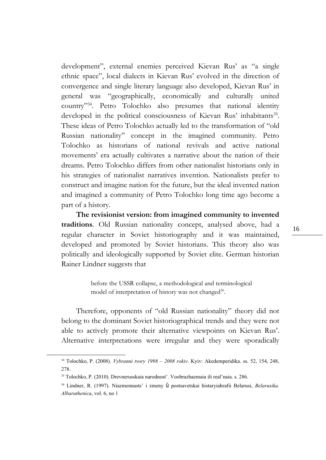development", external enemies perceived Kievan Rus' as "a single ethnic space", local dialects in Kievan Rus' evolved in the direction of convergence and single literary language also developed, Kievan Rus' in general was "geographically, economically and culturally united country"<sup>34</sup>. Petro Tolochko also presumes that national identity developed in the political consciousness of Kievan Rus' inhabitants<sup>35</sup>. These ideas of Petro Tolochko actually led to the transformation of "old Russian nationality" concept in the imagined community. Petro Tolochko as historians of national revivals and active national movements' era actually cultivates a narrative about the nation of their dreams. Petro Tolochko differs from other nationalist historians only in his strategies of nationalist narratives invention. Nationalists prefer to construct and imagine nation for the future, but the ideal invented nation and imagined a community of Petro Tolochko long time ago become a part of a history.

**The revisionist version: from imagined community to invented traditions**. Old Russian nationality concept, analysed above, had a regular character in Soviet historiography and it was maintained, developed and promoted by Soviet historians. This theory also was politically and ideologically supported by Soviet elite. German historian Rainer Lindner suggests that

> before the USSR collapse, a methodological and terminological model of interpretation of history was not changed<sup>36</sup>.

Therefore, opponents of "old Russian nationality" theory did not belong to the dominant Soviet historiographical trends and they were not able to actively promote their alternative viewpoints on Kievan Rus'. Alternative interpretations were irregular and they were sporadically

1

<sup>34</sup> Tolochko, P. (2008). *Vybranni tvory 1998 – 2008 rokiv*. Kyiv: Akedemperidika. ss. 52, 154, 248, 278.

<sup>35</sup> Tolochko, P. (2010). Drevnerusskaia narodnost'. Voobrazhaemaia ili real'naia. s. 286.

<sup>36</sup> Lindner, R. (1997). Niazmennasts' i zmeny ŭ postsavetskai histaryiahrafii Belarusi, *Belarusika. Albaruthenica*, vol. 6, no 1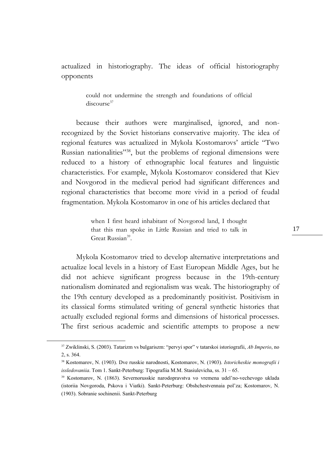actualized in historiography. The ideas of official historiography opponents

> could not undermine the strength and foundations of official discourse<sup>37</sup>

because their authors were marginalised, ignored, and nonrecognized by the Soviet historians conservative majority. The idea of regional features was actualized in Mykola Kostomarovs' article "Two Russian nationalities"<sup>38</sup>, but the problems of regional dimensions were reduced to a history of ethnographic local features and linguistic characteristics. For example, Mykola Kostomarov considered that Kiev and Novgorod in the medieval period had significant differences and regional characteristics that become more vivid in a period of feudal fragmentation. Mykola Kostomarov in one of his articles declared that

> when I first heard inhabitant of Novgorod land, I thought that this man spoke in Little Russian and tried to talk in Great Russian<sup>39</sup>.

Mykola Kostomarov tried to develop alternative interpretations and actualize local levels in a history of East European Middle Ages, but he did not achieve significant progress because in the 19th-century nationalism dominated and regionalism was weak. The historiography of the 19th century developed as a predominantly positivist. Positivism in its classical forms stimulated writing of general synthetic histories that actually excluded regional forms and dimensions of historical processes. The first serious academic and scientific attempts to propose a new

<sup>37</sup> Zwiklinski, S. (2003). Tatarizm vs bulgariszm: "pervyi spor" v tatarskoi istoriografii, *Ab Imperio*, no 2, s. 364.

<sup>38</sup> Kostomarov, N. (1903). Dve russkie narodnosti, Kostomarov, N. (1903). *Istoricheskie monografii i issledovaniia*. Tom 1. Sankt-Peterburg: Tipografiia M.M. Stasiulevicha, ss. 31 – 65.

<sup>39</sup> Kostomarov, N. (1863). Severnorusskie narodopravstva vo vremena udel'no-vechevogo uklada (istoriia Novgoroda, Pskova i Viatki). Sankt-Peterburg: Obshchestvennaia pol'za; Kostomarov, N. (1903). Sobranie sochinenii. Sankt-Peterburg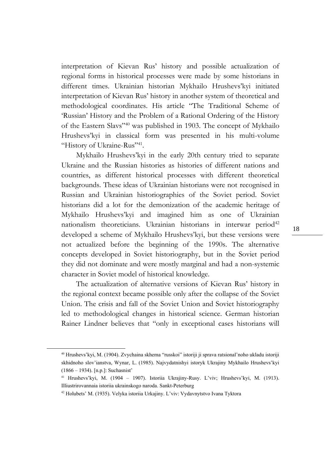interpretation of Kievan Rus' history and possible actualization of regional forms in historical processes were made by some historians in different times. Ukrainian historian Mykhailo Hrushevs'kyi initiated interpretation of Kievan Rus' history in another system of theoretical and methodological coordinates. His article "The Traditional Scheme of 'Russian' History and the Problem of a Rational Ordering of the History of the Eastern Slavs"<sup>40</sup> was published in 1903. The concept of Mykhailo Hrushevs'kyi in classical form was presented in his multi-volume "History of Ukraine-Rus"<sup>41</sup>.

Mykhailo Hrushevs'kyi in the early 20th century tried to separate Ukraine and the Russian histories as histories of different nations and countries, as different historical processes with different theoretical backgrounds. These ideas of Ukrainian historians were not recognised in Russian and Ukrainian historiographies of the Soviet period. Soviet historians did a lot for the demonization of the academic heritage of Mykhailo Hrushevs'kyi and imagined him as one of Ukrainian nationalism theoreticians. Ukrainian historians in interwar period<sup>42</sup> developed a scheme of Mykhailo Hrushevs'kyi, but these versions were not actualized before the beginning of the 1990s. The alternative concepts developed in Soviet historiography, but in the Soviet period they did not dominate and were mostly marginal and had a non-systemic character in Soviet model of historical knowledge.

The actualization of alternative versions of Kievan Rus' history in the regional context became possible only after the collapse of the Soviet Union. The crisis and fall of the Soviet Union and Soviet historiography led to methodological changes in historical science. German historian Rainer Lindner believes that "only in exceptional cases historians will

<sup>40</sup> Hrushevs'kyi, M. (1904). Zvychaina skhema "russkoi" istoriji ji sprava ratsional'noho ukladu istoriji skhidnoho slov'ianstva, Wynar, L. (1985). Najvydatnishyi istoryk Ukrajiny Mykhailo Hrushevs'kyi (1866 – 1934). [n.p.]: Suchasnist'

<sup>41</sup> Hrushevs'kyi, M. (1904 – 1907). Istoriia Ukrajiny-Rusy. L'viv; Hrushevs'kyi, M. (1913). Illiustrirovannaia istoriia ukrainskogo naroda. Sankt-Peterburg

<sup>42</sup> Holubets' M. (1935). Velyka istoriia Urkajiny. L'viv: Vydavnytstvo Ivana Tyktora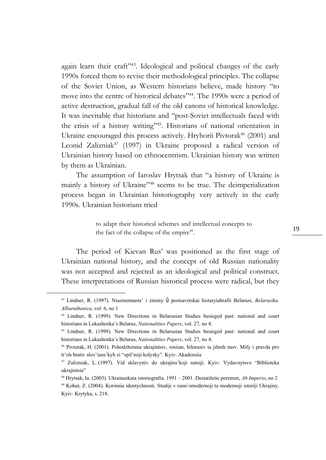again learn their craft"<sup>43</sup>. Ideological and political changes of the early 1990s forced them to revise their methodological principles. The collapse of the Soviet Union, as Western historians believe, made history "to move into the centre of historical debates"<sup>44</sup>. The 1990s were a period of active destruction, gradual fall of the old canons of historical knowledge. It was inevitable that historians and "post-Soviet intellectuals faced with the crisis of a history writing"<sup>45</sup>. Historians of national orientation in Ukraine encouraged this process actively. Hryhorii Pivtorak<sup>46</sup> (2001) and Leonid Zalizniak<sup>47</sup> (1997) in Ukraine proposed a radical version of Ukrainian history based on ethnocentrism. Ukrainian history was written by them as Ukrainian.

The assumption of Iaroslav Hrytsak that "a history of Ukraine is mainly a history of Ukraine"<sup>48</sup> seems to be true. The deimperialization process began in Ukrainian historiography very actively in the early 1990s. Ukrainian historians tried

> to adapt their historical schemes and intellectual concepts to the fact of the collapse of the empire<sup>49</sup>.

The period of Kievan Rus' was positioned as the first stage of Ukrainian national history, and the concept of old Russian nationality was not accepted and rejected as an ideological and political construct. These interpretations of Russian historical process were radical, but they

<sup>43</sup> Lindner, R. (1997). Niazmennasts' i zmeny ŭ postsavetskai histaryiahrafii Belarusi, *Belarusika. Albaruthenica*, vol. 6, no 1

<sup>44</sup> Lindner, R. (1999). New Directions in Belarusian Studies besieged past: national and court historians in Lukashenka's Belarus, *Nationalities Papers*, vol. 27, no 4.

<sup>45</sup> Lindner, R. (1999). New Directions in Belarusian Studies besieged past: national and court historians in Lukashenka's Belarus, *Nationalities Papers*, vol. 27, no 4.

<sup>46</sup> Pivtorak, H. (2001). Pohodzhennia ukrajintsiv, rosiian, bilorusiv ta jihnih mov. Mify i pravda pro tr'oh brativ slov'ians'kyh zi "spil'noji kolysky". Kyiv: Akademiia

<sup>47</sup> Zalizniak, L. (1997). Vid sklavyniv do ukrajins'koji natsiji. Kyiv: Vydavnytsvo "Biblioteka ukrajintsia"

<sup>48</sup> Hrytsak, Ia. (2003). Ukrainaskaia istoriografia. 1991 – 2001. Desiatiletie peremen, *Ab Imperio*, no 2

<sup>49</sup> Kohut, Z. (2004). Korinnia identychnosti. Studiji v rann'omodernoji ta modernoji istoriji Ukrajiny. Kyiv: Krytyka, s. 218.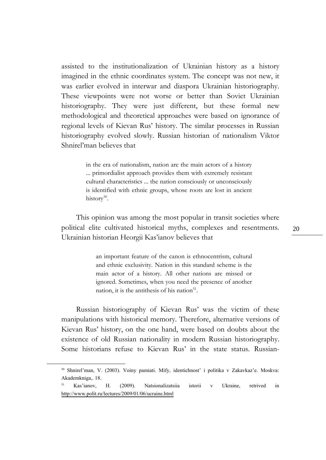assisted to the institutionalization of Ukrainian history as a history imagined in the ethnic coordinates system. The concept was not new, it was earlier evolved in interwar and diaspora Ukrainian historiography. These viewpoints were not worse or better than Soviet Ukrainian historiography. They were just different, but these formal new methodological and theoretical approaches were based on ignorance of regional levels of Kievan Rus' history. The similar processes in Russian historiography evolved slowly. Russian historian of nationalism Viktor Shnirel'man believes that

> in the era of nationalism, nation are the main actors of a history ... primordialist approach provides them with extremely resistant cultural characteristics ... the nation consciously or unconsciously is identified with ethnic groups, whose roots are lost in ancient history<sup>50</sup>.

This opinion was among the most popular in transit societies where political elite cultivated historical myths, complexes and resentments. Ukrainian historian Heorgii Kas'ianov believes that

> an important feature of the canon is ethnocentrism, cultural and ethnic exclusivity. Nation in this standard scheme is the main actor of a history. All other nations are missed or ignored. Sometimes, when you need the presence of another nation, it is the antithesis of his nation $51$ .

Russian historiography of Kievan Rus' was the victim of these manipulations with historical memory. Therefore, alternative versions of Kievan Rus' history, on the one hand, were based on doubts about the existence of old Russian nationality in modern Russian historiography. Some historians refuse to Kievan Rus' in the state status. Russian-

1

<sup>50</sup> Shnirel'man, V. (2003). Voiny pamiati. Mify, identichnost' i politika v Zakavkaz'e. Moskva: Akademkniga,. 18.

<sup>51</sup> Kas'ianov, H. (2009). Natsionalizatsiia istorii v Ukraine, retrived in <http://www.polit.ru/lectures/2009/01/06/ucraine.html>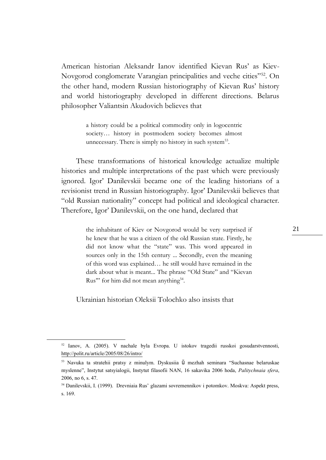American historian Aleksandr Ianov identified Kievan Rus' as Kiev-Novgorod conglomerate Varangian principalities and veche cities"<sup>52</sup>. On the other hand, modern Russian historiography of Kievan Rus' history and world historiography developed in different directions. Belarus philosopher Valiantsin Akudovich believes that

> a history could be a political commodity only in logocentric society… history in postmodern society becomes almost unnecessary. There is simply no history in such system<sup>53</sup>.

These transformations of historical knowledge actualize multiple histories and multiple interpretations of the past which were previously ignored. Igor' Danilevskii became one of the leading historians of a revisionist trend in Russian historiography. Igor' Danilevskii believes that "old Russian nationality" concept had political and ideological character. Therefore, Igor' Danilevskii, on the one hand, declared that

> the inhabitant of Kiev or Novgorod would be very surprised if he knew that he was a citizen of the old Russian state. Firstly, he did not know what the "state" was. This word appeared in sources only in the 15th century ... Secondly, even the meaning of this word was explained… he still would have remained in the dark about what is meant... The phrase "Old State" and "Kievan Rus" for him did not mean anything<sup>54</sup>.

Ukrainian historian Oleksii Tolochko also insists that

<sup>52</sup> Ianov, A. (2005). V nachale byla Evropa. U istokov tragedii russkoi gosudarstvennosti, <http://polit.ru/article/2005/08/26/intro/>

<sup>53</sup> Navuka ta stratehii pratsy z minulym. Dyskusiia ŭ mezhah seminara "Suchasnae belaruskae myslenne", Instytut satsyialogii, Instytut filasofii NAN, 16 sakavika 2006 hoda, *Palitychnaia sfera*, 2006, no 6, s. 47.

<sup>54</sup> Danilevskii, I. (1999). Drevniaia Rus' glazami sovremennikov i potomkov. Moskva: Aspekt press, s. 169.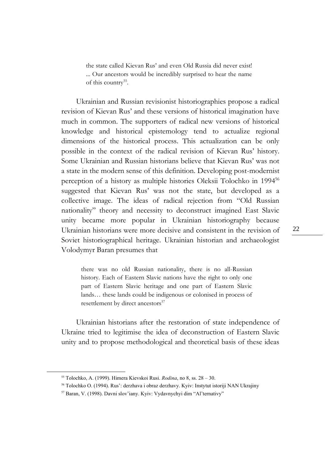the state called Kievan Rus' and even Old Russia did never exist! ... Our ancestors would be incredibly surprised to hear the name of this country<sup>55</sup>.

Ukrainian and Russian revisionist historiographies propose a radical revision of Kievan Rus' and these versions of historical imagination have much in common. The supporters of radical new versions of historical knowledge and historical epistemology tend to actualize regional dimensions of the historical process. This actualization can be only possible in the context of the radical revision of Kievan Rus' history. Some Ukrainian and Russian historians believe that Kievan Rus' was not a state in the modern sense of this definition. Developing post-modernist perception of a history as multiple histories Oleksii Tolochko in 1994<sup>56</sup> suggested that Kievan Rus' was not the state, but developed as a collective image. The ideas of radical rejection from "Old Russian nationality" theory and necessity to deconstruct imagined East Slavic unity became more popular in Ukrainian historiography because Ukrainian historians were more decisive and consistent in the revision of Soviet historiographical heritage. Ukrainian historian and archaeologist Volodymyr Baran presumes that

there was no old Russian nationality, there is no all-Russian history. Each of Eastern Slavic nations have the right to only one part of Eastern Slavic heritage and one part of Eastern Slavic lands… these lands could be indigenous or colonised in process of resettlement by direct ancestors<sup>57</sup>

Ukrainian historians after the restoration of state independence of Ukraine tried to legitimise the idea of deconstruction of Eastern Slavic unity and to propose methodological and theoretical basis of these ideas

<sup>55</sup> Tolochko, A. (1999). Himera Kievskoi Rusi. *Rodina*, no 8, ss. 28 – 30.

<sup>56</sup> Tolochko O. (1994). Rus': derzhava i obraz derzhavy. Kyiv: Instytut istoriji NAN Ukrajiny

<sup>57</sup> Baran, V. (1998). Davni slov'iany. Kyiv: Vydavnychyi dim "Al'ternativy"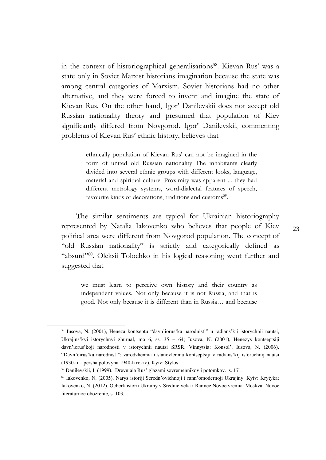in the context of historiographical generalisations<sup>58</sup>. Kievan Rus' was a state only in Soviet Marxist historians imagination because the state was among central categories of Marxism. Soviet historians had no other alternative, and they were forced to invent and imagine the state of Kievan Rus. On the other hand, Igor' Danilevskii does not accept old Russian nationality theory and presumed that population of Kiev significantly differed from Novgorod. Igor' Danilevskii, commenting problems of Kievan Rus' ethnic history, believes that

> ethnically population of Kievan Rus' can not be imagined in the form of united old Russian nationality The inhabitants clearly divided into several ethnic groups with different looks, language, material and spiritual culture. Proximity was apparent ... they had different metrology systems, word-dialectal features of speech, favourite kinds of decorations, traditions and customs<sup>59</sup>.

The similar sentiments are typical for Ukrainian historiography represented by Natalia Iakovenko who believes that people of Kiev political area were different from Novgorod population. The concept of "old Russian nationality" is strictly and categorically defined as "absurd"<sup>60</sup>. Oleksii Tolochko in his logical reasoning went further and suggested that

we must learn to perceive own history and their country as independent values. Not only because it is not Russia, and that is good. Not only because it is different than in Russia… and because

<sup>58</sup> Iusova, N. (2001), Heneza kontseptu "davn'iorus'ka narodnist'" u radians'kii istorychnii nautsi, Ukrajins'kyi istorychnyi zhurnal, mo 6, ss. 35 – 64; Iusova, N. (2001), Henezys kontseptsiji davn'iorus'koji narodnosti v istorychnii nautsi SRSR. Vinnytsia: Konsol'; Iusova, N. (2006). "Davn'oirus'ka narodnist'": zarodzhennia i stanovlennia kontseptsiji v radians'kij istoruchnij nautsi (1930-ti – persha polovyna 1940-h rokiv). Kyiv: Stylos

<sup>59</sup> Danilevskii, I. (1999). Drevniaia Rus' glazami sovremennikov i potomkov. s. 171.

<sup>60</sup> Iakovenko, N. (2005). Narys istoriji Seredn'ovichnoji i rann'omodernoji Ukrajiny. Kyiv: Krytyka; Iakovenko, N. (2012). Ocherk istorii Ukrainy v Srednie veka i Rannee Novoe vremia. Moskva: Novoe literaturnoe obozrenie, s. 103.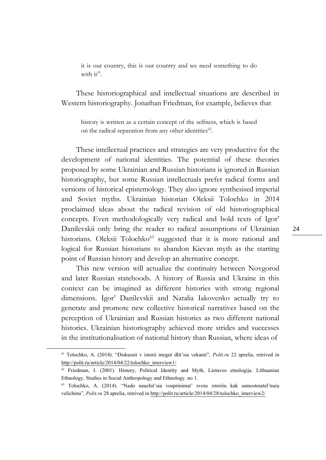it is our country, this is our country and we need something to do with  $it^{61}$ .

These historiographical and intellectual situations are described in Western historiography. Jonathan Friedman, for example, believes that

history is written as a certain concept of the selfness, which is based on the radical separation from any other identities<sup>62</sup>.

These intellectual practices and strategies are very productive for the development of national identities. The potential of these theories proposed by some Ukrainian and Russian historians is ignored in Russian historiography, but some Russian intellectuals prefer radical forms and versions of historical epistemology. They also ignore synthesised imperial and Soviet myths. Ukrainian historian Oleksii Tolochko in 2014 proclaimed ideas about the radical revision of old historiographical concepts. Even methodologically very radical and bold texts of Igor' Danilevskii only bring the reader to radical assumptions of Ukrainian historians. Oleksii Tolochko<sup>63</sup> suggested that it is more rational and logical for Russian historians to abandon Kievan myth as the starting point of Russian history and develop an alternative concept.

This new version will actualize the continuity between Novgorod and later Russian statehoods. A history of Russia and Ukraine in this context can be imagined as different histories with strong regional dimensions. Igor' Danilevskii and Natalia Iakovenko actually try to generate and promote new collective historical narratives based on the perception of Ukrainian and Russian histories as two different national histories. Ukrainian historiography achieved more strides and successes in the institutionalisation of national history than Russian, where ideas of

1

<sup>61</sup> Tolochko, A. (2014). "Diskussii v istorii mogut dlit'sia vekami", *Polit.ru* 22 aprelia, retrived in [http://polit.ru/article/2014/04/22/tolochko\\_interview1/](http://polit.ru/article/2014/04/22/tolochko_interview1/) 

 $62$  Friedman, J. (2001). History, Political Identity and Myth, Lietuvos etnologija. Lithuanian Ethnology. Studies in Social Anthropology and Ethnology. no 1.

<sup>63</sup> Tolochko, A. (2014). "Nado nauchit'sia vosprinimat' svoiu istoriiu kak samostoiatel'nuiu velichinu", *Polit.ru* 28 aprelia, retrived in [http://polit.ru/article/2014/04/28/tolochko\\_interview2/](http://polit.ru/article/2014/04/28/tolochko_interview2/)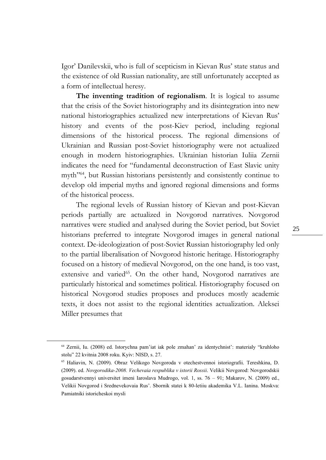Igor' Danilevskii, who is full of scepticism in Kievan Rus' state status and the existence of old Russian nationality, are still unfortunately accepted as a form of intellectual heresy.

**The inventing tradition of regionalism**. It is logical to assume that the crisis of the Soviet historiography and its disintegration into new national historiographies actualized new interpretations of Kievan Rus' history and events of the post-Kiev period, including regional dimensions of the historical process. The regional dimensions of Ukrainian and Russian post-Soviet historiography were not actualized enough in modern historiographies. Ukrainian historian Iuliia Zernii indicates the need for "fundamental deconstruction of East Slavic unity myth"<sup>64</sup>, but Russian historians persistently and consistently continue to develop old imperial myths and ignored regional dimensions and forms of the historical process.

The regional levels of Russian history of Kievan and post-Kievan periods partially are actualized in Novgorod narratives. Novgorod narratives were studied and analysed during the Soviet period, but Soviet historians preferred to integrate Novgorod images in general national context. De-ideologization of post-Soviet Russian historiography led only to the partial liberalisation of Novgorod historic heritage. Historiography focused on a history of medieval Novgorod, on the one hand, is too vast, extensive and varied<sup>65</sup>. On the other hand, Novgorod narratives are particularly historical and sometimes political. Historiography focused on historical Novgorod studies proposes and produces mostly academic texts, it does not assist to the regional identities actualization. Aleksei Miller presumes that

<sup>64</sup> Zernii, Iu. (2008) ed. Istorychna pam'iat iak pole zmahan' za identychnist': materialy "kruhloho stolu" 22 kvitnia 2008 roku. Kyiv: NISD, s. 27.

<sup>65</sup> Haliavin, N. (2009). Obraz Velikogo Novgoroda v otechestvennoi istoriografii. Tereshkina, D. (2009). ed. *Novgorodika-2008. Vechevaia respublika v istorii Rossii*. Velikii Novgorod: Novgorodskii gosudarstvennyi universitet imeni Iaroslava Mudrogo, vol. 1, ss. 76 – 91; Makarov, N. (2009) ed., Velikii Novgorod i Srednevekovaia Rus'. Sbornik statei k 80-letiiu akademika V.L. Ianina. Moskva: Pamiatniki istoricheskoi mysli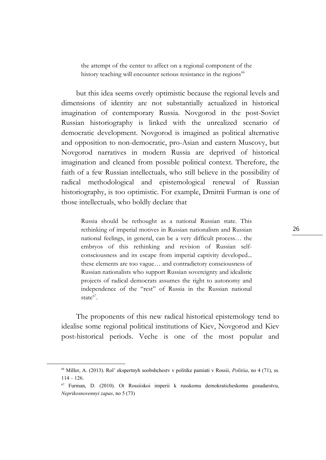the attempt of the center to affect on a regional component of the history teaching will encounter serious resistance in the regions<sup>66</sup>

but this idea seems overly optimistic because the regional levels and dimensions of identity are not substantially actualized in historical imagination of contemporary Russia. Novgorod in the post-Soviet Russian historiography is linked with the unrealized scenario of democratic development. Novgorod is imagined as political alternative and opposition to non-democratic, pro-Asian and eastern Muscovy, but Novgorod narratives in modern Russia are deprived of historical imagination and cleaned from possible political context. Therefore, the faith of a few Russian intellectuals, who still believe in the possibility of radical methodological and epistemological renewal of Russian historiography, is too optimistic. For example, Dmitrii Furman is one of those intellectuals, who boldly declare that

Russia should be rethought as a national Russian state. This rethinking of imperial motives in Russian nationalism and Russian national feelings, in general, can be a very difficult process… the embryos of this rethinking and revision of Russian selfconsciousness and its escape from imperial captivity developed... these elements are too vague… and contradictory consciousness of Russian nationalists who support Russian sovereignty and idealistic projects of radical democrats assumes the right to autonomy and independence of the "rest" of Russia in the Russian national state $67$ .

The proponents of this new radical historical epistemology tend to idealise some regional political institutions of Kiev, Novgorod and Kiev post-historical periods. Veche is one of the most popular and

1

<sup>66</sup> Miller, A. (2013). Rol' ekspertnyh soobshchestv v politike pamiati v Rossii, *Politiia*, no 4 (71), ss.  $114 - 126$ .

<sup>67</sup> Furman, D. (2010). Ot Rossiiskoi imperii k russkomu demokraticheskomu gosudarstvu, *Neprikosnovennyi zapas*, no 5 (73)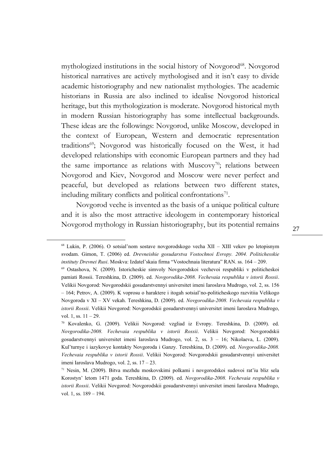mythologized institutions in the social history of Novgorod<sup>68</sup>. Novgorod historical narratives are actively mythologised and it isn't easy to divide academic historiography and new nationalist mythologies. The academic historians in Russia are also inclined to idealise Novgorod historical heritage, but this mythologization is moderate. Novgorod historical myth in modern Russian historiography has some intellectual backgrounds. These ideas are the followings: Novgorod, unlike Moscow, developed in the context of European, Western and democratic representation traditions<sup>69</sup>; Novgorod was historically focused on the West, it had developed relationships with economic European partners and they had the same importance as relations with Muscovy<sup>70</sup>; relations between Novgorod and Kiev, Novgorod and Moscow were never perfect and peaceful, but developed as relations between two different states, including military conflicts and political confrontations $71$ .

Novgorod veche is invented as the basis of a unique political culture and it is also the most attractive ideologem in contemporary historical Novgorod mythology in Russian historiography, but its potential remains

<sup>68</sup> Lukin, P. (2006). O sotsial'nom sostave novgorodskogo vecha XII – XIII vekov po letopisnym svodam. Gimon, T. (2006) ed. *Drevneishie gosudarstva Vostochnoi Evropy. 2004. Politichesskie instituty Drevnei Rusi*. Moskva: Izdatel'skaia firma "Vostochnaia literatura" RAN. ss. 164 – 209.

<sup>69</sup> Ostashova, N. (2009). Istoricheskie simvoly Novgorodskoi vechevoi respubliki v politicheskoi pamiati Rossii. Tereshkina, D. (2009). ed. *Novgorodika-2008. Vechevaia respublika v istorii Rossii*. Velikii Novgorod: Novgorodskii gosudarstvennyi universitet imeni Iaroslava Mudrogo, vol. 2, ss. 156 – 164; Petrov, A. (2009). K voprosu o haraktere i itogah sotsial'no-politicheskogo razvitiia Velikogo Novgoroda v XI – XV vekah. Tereshkina, D. (2009). ed. *Novgorodika-2008. Vechevaia respublika v istorii Rossii*. Velikii Novgorod: Novgorodskii gosudarstvennyi universitet imeni Iaroslava Mudrogo, vol. 1, ss.  $11 - 29$ .

<sup>70</sup> Kovalenko, G. (2009). Velikii Novgorod: vzgliad iz Evropy. Tereshkina, D. (2009). ed. *Novgorodika-2008. Vechevaia respublika v istorii Rossii*. Velikii Novgorod: Novgorodskii gosudarstvennyi universitet imeni Iaroslava Mudrogo, vol. 2, ss. 3 – 16; Nikolaeva, L. (2009). Kul'turnye i iazykovye kontakty Novgoroda i Ganzy. Tereshkina, D. (2009). ed. *Novgorodika-2008. Vechevaia respublika v istorii Rossii*. Velikii Novgorod: Novgorodskii gosudarstvennyi universitet imeni Iaroslava Mudrogo, vol. 2, ss. 17 – 23.

 $71$  Nesin, M. (2009). Bitva mezhdu moskovskimi polkami i novgorodskoi sudovoi rat'iu bliz sela Korostyn' letom 1471 goda. Tereshkina, D. (2009). ed. *Novgorodika-2008. Vechevaia respublika v istorii Rossii*. Velikii Novgorod: Novgorodskii gosudarstvennyi universitet imeni Iaroslava Mudrogo, vol. 1, ss. 189 – 194.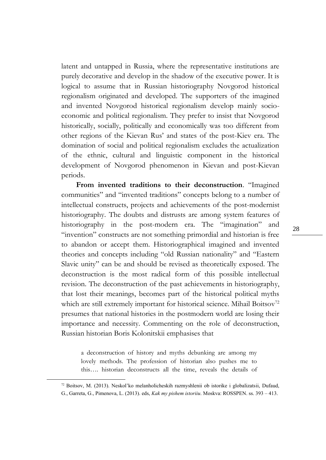latent and untapped in Russia, where the representative institutions are purely decorative and develop in the shadow of the executive power. It is logical to assume that in Russian historiography Novgorod historical regionalism originated and developed. The supporters of the imagined and invented Novgorod historical regionalism develop mainly socioeconomic and political regionalism. They prefer to insist that Novgorod historically, socially, politically and economically was too different from other regions of the Kievan Rus' and states of the post-Kiev era. The domination of social and political regionalism excludes the actualization of the ethnic, cultural and linguistic component in the historical development of Novgorod phenomenon in Kievan and post-Kievan periods.

**From invented traditions to their deconstruction**. "Imagined communities" and "invented traditions" concepts belong to a number of intellectual constructs, projects and achievements of the post-modernist historiography. The doubts and distrusts are among system features of historiography in the post-modern era. The "imagination" and "invention" constructs are not something primordial and historian is free to abandon or accept them. Historiographical imagined and invented theories and concepts including "old Russian nationality" and "Eastern Slavic unity" can be and should be revised as theoretically exposed. The deconstruction is the most radical form of this possible intellectual revision. The deconstruction of the past achievements in historiography, that lost their meanings, becomes part of the historical political myths which are still extremely important for historical science. Mihail Boitsov<sup>72</sup> presumes that national histories in the postmodern world are losing their importance and necessity. Commenting on the role of deconstruction, Russian historian Boris Kolonitskii emphasises that

a deconstruction of history and myths debunking are among my lovely methods. The profession of historian also pushes me to this…. historian deconstructs all the time, reveals the details of

<sup>72</sup> Boitsov, M. (2013). Neskol'ko melanholicheskih razmyshlenii ob istorike i globalizatsii, Dufaud, G., Garreta, G., Pimenova, L. (2013). eds, *Kak my pishem istoriiu*. Moskva: ROSSPEN. ss. 393 – 413.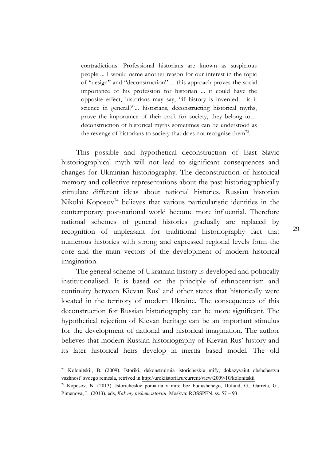contradictions. Professional historians are known as suspicious people ... I would name another reason for our interest in the topic of "design" and "deconstruction" ... this approach proves the social importance of his profession for historian ... it could have the opposite effect, historians may say, "if history is invented - is it science in general?"... historians, deconstructing historical myths, prove the importance of their craft for society, they belong to… deconstruction of historical myths sometimes can be understood as the revenge of historians to society that does not recognise them<sup>73</sup>.

This possible and hypothetical deconstruction of East Slavic historiographical myth will not lead to significant consequences and changes for Ukrainian historiography. The deconstruction of historical memory and collective representations about the past historiographically stimulate different ideas about national histories. Russian historian Nikolai Koposov<sup>74</sup> believes that various particularistic identities in the contemporary post-national world become more influential. Therefore national schemes of general histories gradually are replaced by recognition of unpleasant for traditional historiography fact that numerous histories with strong and expressed regional levels form the core and the main vectors of the development of modern historical imagination.

The general scheme of Ukrainian history is developed and politically institutionalised. It is based on the principle of ethnocentrism and continuity between Kievan Rus' and other states that historically were located in the territory of modern Ukraine. The consequences of this deconstruction for Russian historiography can be more significant. The hypothetical rejection of Kievan heritage can be an important stimulus for the development of national and historical imagination. The author believes that modern Russian historiography of Kievan Rus' history and its later historical heirs develop in inertia based model. The old

1

<sup>73</sup> Kolonitskii, B. (2009). Istoriki, dekonstruiruia istoricheskie mify, dokazyvaiut obshchestvu vazhnost' svoego remesla, retrived in <http://urokiistorii.ru/current/view/2009/10/kolonitskii>

<sup>74</sup> Koposov, N. (2013). Istoricheskie poniatiia v mire bez budushchego, Dufaud, G., Garreta, G., Pimenova, L. (2013). eds, *Kak my pishem istoriiu*. Moskva: ROSSPEN. ss. 57 – 93.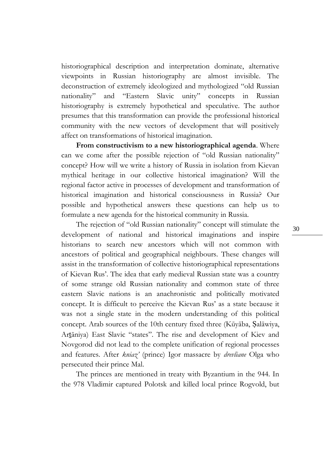historiographical description and interpretation dominate, alternative viewpoints in Russian historiography are almost invisible. The deconstruction of extremely ideologized and mythologized "old Russian nationality" and "Eastern Slavic unity" concepts in Russian historiography is extremely hypothetical and speculative. The author presumes that this transformation can provide the professional historical community with the new vectors of development that will positively affect on transformations of historical imagination.

**From constructivism to a new historiographical agenda**. Where can we come after the possible rejection of "old Russian nationality" concept? How will we write a history of Russia in isolation from Kievan mythical heritage in our collective historical imagination? Will the regional factor active in processes of development and transformation of historical imagination and historical consciousness in Russia? Our possible and hypothetical answers these questions can help us to formulate a new agenda for the historical community in Russia.

The rejection of "old Russian nationality" concept will stimulate the development of national and historical imaginations and inspire historians to search new ancestors which will not common with ancestors of political and geographical neighbours. These changes will assist in the transformation of collective historiographical representations of Kievan Rus'. The idea that early medieval Russian state was a country of some strange old Russian nationality and common state of three eastern Slavic nations is an anachronistic and politically motivated concept. It is difficult to perceive the Kievan Rus' as a state because it was not a single state in the modern understanding of this political concept. Arab sources of the 10th century fixed three (Kūyāba, Ṣalāwiya, Arṯāniya) East Slavic "states". The rise and development of Kiev and Novgorod did not lead to the complete unification of regional processes and features. After *kniaz'* (prince) Igor massacre by *drevliane* Olga who persecuted their prince Mal.

The princes are mentioned in treaty with Byzantium in the 944. In the 978 Vladimir captured Polotsk and killed local prince Rogvold, but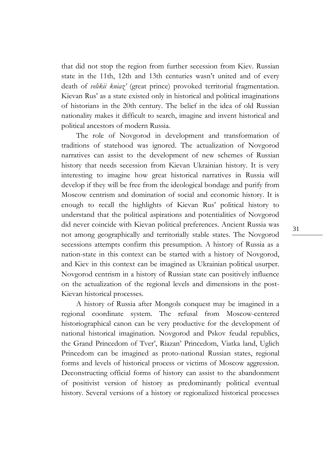that did not stop the region from further secession from Kiev. Russian state in the 11th, 12th and 13th centuries wasn't united and of every death of *velikii kniaz'* (great prince) provoked territorial fragmentation. Kievan Rus' as a state existed only in historical and political imaginations of historians in the 20th century. The belief in the idea of old Russian nationality makes it difficult to search, imagine and invent historical and political ancestors of modern Russia.

The role of Novgorod in development and transformation of traditions of statehood was ignored. The actualization of Novgorod narratives can assist to the development of new schemes of Russian history that needs secession from Kievan Ukrainian history. It is very interesting to imagine how great historical narratives in Russia will develop if they will be free from the ideological bondage and purify from Moscow centrism and domination of social and economic history. It is enough to recall the highlights of Kievan Rus' political history to understand that the political aspirations and potentialities of Novgorod did never coincide with Kievan political preferences. Ancient Russia was not among geographically and territorially stable states. The Novgorod secessions attempts confirm this presumption. A history of Russia as a nation-state in this context can be started with a history of Novgorod, and Kiev in this context can be imagined as Ukrainian political usurper. Novgorod centrism in a history of Russian state can positively influence on the actualization of the regional levels and dimensions in the post-Kievan historical processes.

A history of Russia after Mongols conquest may be imagined in a regional coordinate system. The refusal from Moscow-centered historiographical canon can be very productive for the development of national historical imagination. Novgorod and Pskov feudal republics, the Grand Princedom of Tver', Riazan' Princedom, Viatka land, Uglich Princedom can be imagined as proto-national Russian states, regional forms and levels of historical process or victims of Moscow aggression. Deconstructing official forms of history can assist to the abandonment of positivist version of history as predominantly political eventual history. Several versions of a history or regionalized historical processes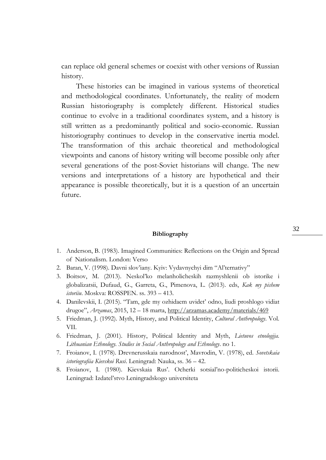can replace old general schemes or coexist with other versions of Russian history.

These histories can be imagined in various systems of theoretical and methodological coordinates. Unfortunately, the reality of modern Russian historiography is completely different. Historical studies continue to evolve in a traditional coordinates system, and a history is still written as a predominantly political and socio-economic. Russian historiography continues to develop in the conservative inertia model. The transformation of this archaic theoretical and methodological viewpoints and canons of history writing will become possible only after several generations of the post-Soviet historians will change. The new versions and interpretations of a history are hypothetical and their appearance is possible theoretically, but it is a question of an uncertain future.

#### **Bibliography**

- 1. Anderson, B. (1983). Imagined Communities: Reflections on the Origin and Spread of Nationalism. London: Verso
- 2. Baran, V. (1998). Davni slov'iany. Kyiv: Vydavnychyi dim "Al'ternativy"
- 3. Boitsov, M. (2013). Neskol'ko melanholicheskih razmyshlenii ob istorike i globalizatsii, Dufaud, G., Garreta, G., Pimenova, L. (2013). eds, *Kak my pishem istoriiu*. Moskva: ROSSPEN. ss. 393 – 413.
- 4. Danilevskii, I. (2015). "Tam, gde my ozhidaem uvidet' odno, liudi proshlogo vidiat drugoe", *Arzamas*, 2015, 12 – 18 marta,<http://arzamas.academy/materials/469>
- 5. Friedman, J. (1992). Myth, History, and Political Identity, *Cultural Anthropology*. Vol. VII.
- 6. Friedman, J. (2001). History, Political Identity and Myth, *Lietuvos etnologija. Lithuanian Ethnology. Studies in Social Anthropology and Ethnology*. no 1.
- 7. Froianov, I. (1978). Drevnerusskaia narodnost', Mavrodin, V. (1978), ed. *Sovetskaia istoriografiia Kievskoi Rusi*. Leningrad: Nauka, ss. 36 – 42.
- 8. Froianov, I. (1980). Kievskaia Rus'. Ocherki sotsial'no-politicheskoi istorii. Leningrad: Izdatel'stvo Leningradskogo universiteta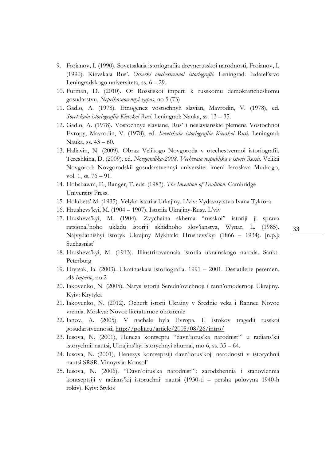- 9. Froianov, I. (1990). Sovetsakaia istoriografiia drevnerusskoi narodnosti, Froianov, I. (1990). Kievskaia Rus'. *Ocherki otechestvennoi istoriografii*. Leningrad: Izdatel'stvo Leningradskogo universiteta, ss. 6 – 29.
- 10. Furman, D. (2010). Ot Rossiiskoi imperii k russkomu demokraticheskomu gosudarstvu, *Neprikosnovennyi zapas*, no 5 (73)
- 11. Gadlo, A. (1978). Etnogenez vostochnyh slavian, Mavrodin, V. (1978), ed. *Sovetskaia istoriografiia Kievskoi Rusi*. Leningrad: Nauka, ss. 13 – 35.
- 12. Gadlo, A. (1978). Vostochnye slaviane, Rus' i neslavianskie plemena Vostochnoi Evropy, Mavrodin, V. (1978), ed. *Sovetskaia istoriografiia Kievskoi Rusi*. Leningrad: Nauka, ss. 43 – 60.
- 13. Haliavin, N. (2009). Obraz Velikogo Novgoroda v otechestvennoi istoriografii. Tereshkina, D. (2009). ed. *Novgorodika-2008. Vechevaia respublika v istorii Rossii*. Velikii Novgorod: Novgorodskii gosudarstvennyi universitet imeni Iaroslava Mudrogo, vol. 1, ss. 76 – 91.
- 14. Hobsbawm, E., Ranger, T. eds. (1983). *The Invention of Tradition*. Cambridge University Press.
- 15. Holubets' M. (1935). Velyka istoriia Urkajiny. L'viv: Vydavnytstvo Ivana Tyktora
- 16. Hrushevs'kyi, M. (1904 1907). Istoriia Ukrajiny-Rusy. L'viv
- 17. Hrushevs'kyi, M. (1904). Zvychaina skhema "russkoi" istoriji ji sprava ratsional'noho ukladu istoriji skhidnoho slov'ianstva, Wynar, L. (1985). Najvydatnishyi istoryk Ukrajiny Mykhailo Hrushevs'kyi (1866 – 1934). [n.p.]: Suchasnist'
- 18. Hrushevs'kyi, M. (1913). Illiustrirovannaia istoriia ukrainskogo naroda. Sankt-Peterburg
- 19. Hrytsak, Ia. (2003). Ukrainaskaia istoriografia. 1991 2001. Desiatiletie peremen, *Ab Imperio*, no 2
- 20. Iakovenko, N. (2005). Narys istoriji Seredn'ovichnoji i rann'omodernoji Ukrajiny. Kyiv: Krytyka
- 21. Iakovenko, N. (2012). Ocherk istorii Ukrainy v Srednie veka i Rannee Novoe vremia. Moskva: Novoe literaturnoe obozrenie
- 22. Ianov, A. (2005). V nachale byla Evropa. U istokov tragedii russkoi gosudarstvennosti,<http://polit.ru/article/2005/08/26/intro/>
- 23. Iusova, N. (2001), Heneza kontseptu "davn'iorus'ka narodnist'" u radians'kii istorychnii nautsi, Ukrajins'kyi istorychnyi zhurnal, mo 6, ss. 35 – 64.
- 24. Iusova, N. (2001), Henezys kontseptsiji davn'iorus'koji narodnosti v istorychnii nautsi SRSR. Vinnytsia: Konsol'
- 25. Iusova, N. (2006). "Davn'oirus'ka narodnist'": zarodzhennia i stanovlennia kontseptsiji v radians'kij istoruchnij nautsi (1930-ti – persha polovyna 1940-h rokiv). Kyiv: Stylos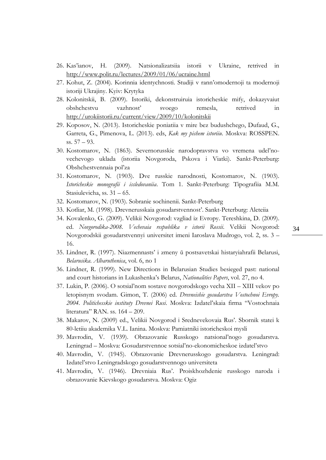- 26. Kas'ianov, H. (2009). Natsionalizatsiia istorii v Ukraine, retrived in <http://www.polit.ru/lectures/2009/01/06/ucraine.html>
- 27. Kohut, Z. (2004). Korinnia identychnosti. Studiji v rann'omodernoji ta modernoji istoriji Ukrajiny. Kyiv: Krytyka
- 28. Kolonitskii, B. (2009). Istoriki, dekonstruiruia istoricheskie mify, dokazyvaiut obshchestvu vazhnost' svoego remesla, retrived in <http://urokiistorii.ru/current/view/2009/10/kolonitskii>
- 29. Koposov, N. (2013). Istoricheskie poniatiia v mire bez budushchego, Dufaud, G., Garreta, G., Pimenova, L. (2013). eds, *Kak my pishem istoriiu*. Moskva: ROSSPEN. ss. 57 – 93.
- 30. Kostomarov, N. (1863). Severnorusskie narodopravstva vo vremena udel'novechevogo uklada (istoriia Novgoroda, Pskova i Viatki). Sankt-Peterburg: Obshchestvennaia pol'za
- 31. Kostomarov, N. (1903). Dve russkie narodnosti, Kostomarov, N. (1903). *Istoricheskie monografii i issledovaniia*. Tom 1. Sankt-Peterburg: Tipografiia M.M. Stasiulevicha, ss. 31 – 65.
- 32. Kostomarov, N. (1903). Sobranie sochinenii. Sankt-Peterburg
- 33. Kotliar, M. (1998). Drevnerusskaia gosudarstvennost'. Sankt-Peterburg: Aleteiia
- 34. Kovalenko, G. (2009). Velikii Novgorod: vzgliad iz Evropy. Tereshkina, D. (2009). ed. *Novgorodika-2008. Vechevaia respublika v istorii Rossii*. Velikii Novgorod: Novgorodskii gosudarstvennyi universitet imeni Iaroslava Mudrogo, vol. 2, ss. 3 – 16.
- 35. Lindner, R. (1997). Niazmennasts' i zmeny ŭ postsavetskai histaryiahrafii Belarusi, *Belarusika. Albaruthenica*, vol. 6, no 1
- 36. Lindner, R. (1999). New Directions in Belarusian Studies besieged past: national and court historians in Lukashenka's Belarus, *Nationalities Papers*, vol. 27, no 4.
- 37. Lukin, P. (2006). O sotsial'nom sostave novgorodskogo vecha XII XIII vekov po letopisnym svodam. Gimon, T. (2006) ed. *Drevneishie gosudarstva Vostochnoi Evropy. 2004. Politichesskie instituty Drevnei Rusi*. Moskva: Izdatel'skaia firma "Vostochnaia literatura" RAN. ss. 164 – 209.
- 38. Makarov, N. (2009) ed., Velikii Novgorod i Srednevekovaia Rus'. Sbornik statei k 80-letiiu akademika V.L. Ianina. Moskva: Pamiatniki istoricheskoi mysli
- 39. Mavrodin, V. (1939). Obrazovanie Russkogo natsional'nogo gosudarstva. Leningrad – Moskva: Gosudarstvennoe sotsial'no-ekonomicheskoe izdatel'stvo
- 40. Mavrodin, V. (1945). Obrazovanie Drevnerusskogo gosudarstva. Leningrad: Izdatel'stvo Leningradskogo gosudarstvennogo universiteta
- 41. Mavrodin, V. (1946). Drevniaia Rus'. Proiskhozhdenie russkogo naroda i obrazovanie Kievskogo gosudarstva. Moskva: Ogiz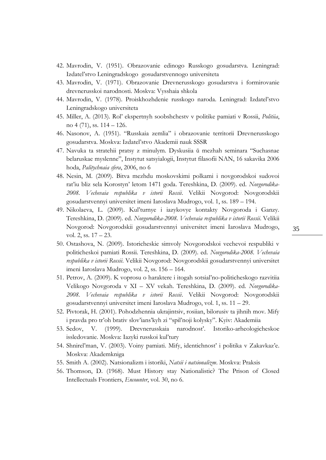- 42. Mavrodin, V. (1951). Obrazovanie edinogo Russkogo gosudarstva. Leningrad: Izdatel'stvo Leningradskogo gosudarstvennogo universiteta
- 43. Mavrodin, V. (1971). Obrazovanie Drevnerusskogo gosudarstva i formirovanie drevnerusskoi narodnosti. Moskva: Vysshaia shkola
- 44. Mavrodin, V. (1978). Proiskhozhdenie russkogo naroda. Leningrad: Izdatel'stvo Leningradskogo universiteta
- 45. Miller, A. (2013). Rol' ekspertnyh soobshchestv v politike pamiati v Rossii, *Politiia*, no 4 (71), ss. 114 – 126.
- 46. Nasonov, A. (1951). "Russkaia zemlia" i obrazovanie territorii Drevnerusskogo gosudarstva. Moskva: Izdatel'stvo Akademii nauk SSSR
- 47. Navuka ta stratehii pratsy z minulym. Dyskusiia ŭ mezhah seminara "Suchasnae belaruskae myslenne", Instytut satsyialogii, Instytut filasofii NAN, 16 sakavika 2006 hoda, *Palitychnaia sfera*, 2006, no 6
- 48. Nesin, M. (2009). Bitva mezhdu moskovskimi polkami i novgorodskoi sudovoi rat'iu bliz sela Korostyn' letom 1471 goda. Tereshkina, D. (2009). ed. *Novgorodika-2008. Vechevaia respublika v istorii Rossii*. Velikii Novgorod: Novgorodskii gosudarstvennyi universitet imeni Iaroslava Mudrogo, vol. 1, ss. 189 – 194.
- 49. Nikolaeva, L. (2009). Kul'turnye i iazykovye kontakty Novgoroda i Ganzy. Tereshkina, D. (2009). ed. *Novgorodika-2008. Vechevaia respublika v istorii Rossii*. Velikii Novgorod: Novgorodskii gosudarstvennyi universitet imeni Iaroslava Mudrogo, vol. 2, ss. 17 – 23.
- 50. Ostashova, N. (2009). Istoricheskie simvoly Novgorodskoi vechevoi respubliki v politicheskoi pamiati Rossii. Tereshkina, D. (2009). ed. *Novgorodika-2008. Vechevaia respublika v istorii Rossii*. Velikii Novgorod: Novgorodskii gosudarstvennyi universitet imeni Iaroslava Mudrogo, vol. 2, ss. 156 – 164.
- 51. Petrov, A. (2009). K voprosu o haraktere i itogah sotsial'no-politicheskogo razvitiia Velikogo Novgoroda v XI – XV vekah. Tereshkina, D. (2009). ed. *Novgorodika-2008. Vechevaia respublika v istorii Rossii*. Velikii Novgorod: Novgorodskii gosudarstvennyi universitet imeni Iaroslava Mudrogo, vol. 1, ss. 11 – 29.
- 52. Pivtorak, H. (2001). Pohodzhennia ukrajintsiv, rosiian, bilorusiv ta jihnih mov. Mify i pravda pro tr'oh brativ slov'ians'kyh zi "spil'noji kolysky". Kyiv: Akademiia
- 53. Sedov, V. (1999). Drevnerusskaia narodnost'. Istoriko-arheologicheskoe issledovanie. Moskva: Iazyki russkoi kul'tury
- 54. Shnirel'man, V. (2003). Voiny pamiati. Mify, identichnost' i politika v Zakavkaz'e. Moskva: Akademkniga
- 55. Smith A. (2002). Natsionalizm i istoriki, *Natsii i natsionalizm*. Moskva: Praksis
- 56. Thomson, D. (1968). Must History stay Nationalistic? The Prison of Closed Intellectuals Frontiers, *Encounter*, vol. 30, no 6.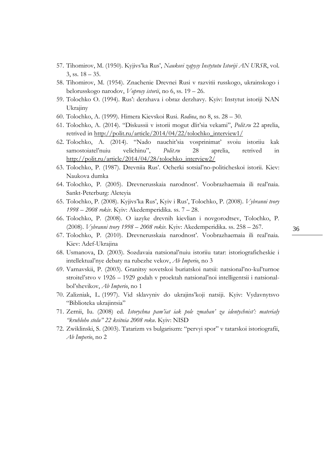- 57. Tihomirov, M. (1950). Kyjivs'ka Rus', *Naukovi zapysy Instytutu Istoriji AN URSR*, vol. 3, ss.  $18 - 35$ .
- 58. Tihomirov, M. (1954). Znachenie Drevnei Rusi v razvitii russkogo, ukrainskogo i belorusskogo narodov, *Voprosy istorii*, no 6, ss. 19 – 26.
- 59. Tolochko O. (1994). Rus': derzhava i obraz derzhavy. Kyiv: Instytut istoriji NAN Ukrajiny
- 60. Tolochko, A. (1999). Himera Kievskoi Rusi. *Rodina*, no 8, ss. 28 30.
- 61. Tolochko, A. (2014). "Diskussii v istorii mogut dlit'sia vekami", *Polit.ru* 22 aprelia, retrived in [http://polit.ru/article/2014/04/22/tolochko\\_interview1/](http://polit.ru/article/2014/04/22/tolochko_interview1/)
- 62. Tolochko, A. (2014). "Nado nauchit'sia vosprinimat' svoiu istoriiu kak samostoiatel'nuiu velichinu", *Polit.ru* 28 aprelia, retrived in [http://polit.ru/article/2014/04/28/tolochko\\_interview2/](http://polit.ru/article/2014/04/28/tolochko_interview2/)
- 63. Tolochko, P. (1987). Drevniia Rus'. Ocherki sotsial'no-politicheskoi istorii. Kiev: Naukova dumka
- 64. Tolochko, P. (2005). Drevnerusskaia narodnost'. Voobrazhaemaia ili real'naia. Sankt-Peterburg: Aleteyia
- 65. Tolochko, P. (2008). Kyjivs'ka Rus', Kyiv i Rus', Tolochko, P. (2008). *Vybranni tvory 1998 – 2008 rokiv*. Kyiv: Akedemperidika. ss. 7 – 28.
- 66. Tolochko, P. (2008). O iazyke drevnih kievlian i novgorodtsev, Tolochko, P. (2008). *Vybranni tvory 1998 – 2008 rokiv.* Kyiv: Akedemperidika. ss. 258 – 267.
- 67. Tolochko, P. (2010). Drevnerusskaia narodnost'. Voobrazhaemaia ili real'naia. Kiev: Adef-Ukrajina
- 68. Usmanova, D. (2003). Sozdavaia natsional'nuiu istoriiu tatar: istoriograficheskie i intellektual'nye debaty na rubezhe vekov, *Ab Imperio*, no 3
- 69. Varnavskii, P. (2003). Granitsy sovetskoi buriatskoi natsii: natsional'no-kul'turnoe stroitel'stvo v 1926 – 1929 godah v proektah natsional'noi intelligentsii i natsionalbol'shevikov, *Ab Imperio*, no 1
- 70. Zalizniak, L. (1997). Vid sklavyniv do ukrajins'koji natsiji. Kyiv: Vydavnytsvo "Biblioteka ukrajintsia"
- 71. Zernii, Iu. (2008) ed. *Istorychna pam'iat iak pole zmahan' za identychnist': materialy "kruhloho stolu" 22 kvitnia 2008 roku*. Kyiv: NISD
- 72. Zwiklinski, S. (2003). Tatarizm vs bulgariszm: "pervyi spor" v tatarskoi istoriografii, *Ab Imperio*, no 2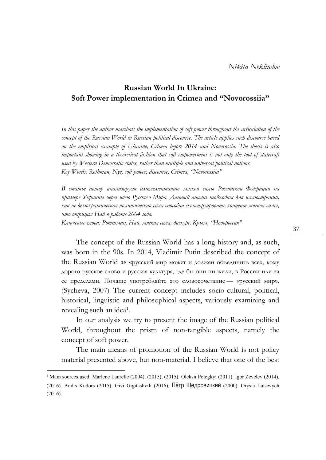## **Russian World In Ukraine: Soft Power implementation in Crimea and "Novorossiia"**

*In this paper the author marshals the implementation of soft power throughout the articulation of the concept of the Russian World in Russian political discourse. The article applies such discourse based on the empirical example of Ukraine, Crimea before 2014 and Novorossia. The thesis is also important showing in a theoretical fashion that soft empowerment is not only the tool of statecraft used by Western Democratic states, rather than multiple and universal political notions. Key Words: Rothman, Nye, soft power, discourse, Crimea, "Novorossiia"*

*В статье автор анализирует имплементацию мягкой силы Российской Федерации на примере Украины через идею Русского Мира. Данный анализ необходим для иллюстрации, как не-демократическая политическая сила способна сконструировать концепт мягкой силы, что отрицал Най в работе 2004 года.*

*Ключевые слова: Роттман, Най, мягкая сила, дискурс, Крым, "Новороссия"*

The concept of the Russian World has a long history and, as such, was born in the 90s. In 2014, Vladimir Putin described the concept of the Russian World as «русский мир может и должен объединить всех, кому дорого русское слово и русская культура, где бы они ни жили, в России или за её пределами. Почаще употребляйте это словосочетание — «русский мир». (Sycheva, 2007) The current concept includes socio-cultural, political, historical, linguistic and philosophical aspects, variously examining and revealing such an idea<sup>1</sup>.

In our analysis we try to present the image of the Russian political World, throughout the prism of non-tangible aspects, namely the concept of soft power.

The main means of promotion of the Russian World is not policy material presented above, but non-material. I believe that one of the best

<sup>&</sup>lt;sup>1</sup> Main sources used: Marlene Laurelle (2004), (2015), (2015). Oleksii Polegkyi (2011). Igor Zevelev (2014), (2016). Andis Kudors (2015). Givi Gigitashvili (2016). Пётр Щедровицкий (2000). Orysia Lutsevych (2016).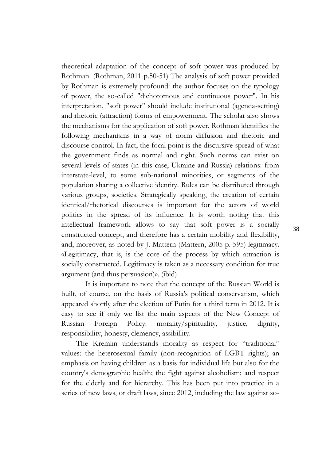theoretical adaptation of the concept of soft power was produced by Rothman. (Rothman, 2011 p.50-51) The analysis of soft power provided by Rothman is extremely profound: the author focuses on the typology of power, the so-called "dichotomous and continuous power". In his interpretation, "soft power" should include institutional (agenda-setting) and rhetoric (attraction) forms of empowerment. The scholar also shows the mechanisms for the application of soft power. Rothman identifies the following mechanisms in a way of norm diffusion and rhetoric and discourse control. In fact, the focal point is the discursive spread of what the government finds as normal and right. Such norms can exist on several levels of states (in this case, Ukraine and Russia) relations: from interstate-level, to some sub-national minorities, or segments of the population sharing a collective identity. Rules can be distributed through various groups, societies. Strategically speaking, the creation of certain identical/rhetorical discourses is important for the actors of world politics in the spread of its influence. It is worth noting that this intellectual framework allows to say that soft power is a socially constructed concept, and therefore has a certain mobility and flexibility, and, moreover, as noted by J. Mattern (Mattern, 2005 p. 595) legitimacy. «Legitimacy, that is, is the core of the process by which attraction is socially constructed. Legitimacy is taken as a necessary condition for true argument (and thus persuasion)». (ibid)

It is important to note that the concept of the Russian World is built, of course, on the basis of Russia's political conservatism, which appeared shortly after the election of Putin for a third term in 2012. It is easy to see if only we list the main aspects of the New Concept of Russian Foreign Policy: morality/spirituality, justice, dignity, responsibility, honesty, clemency, assibillity.

The Kremlin understands morality as respect for "traditional" values: the heterosexual family (non-recognition of LGBT rights); an emphasis on having children as a basis for individual life but also for the country's demographic health; the fight against alcoholism; and respect for the elderly and for hierarchy. This has been put into practice in a series of new laws, or draft laws, since 2012, including the law against so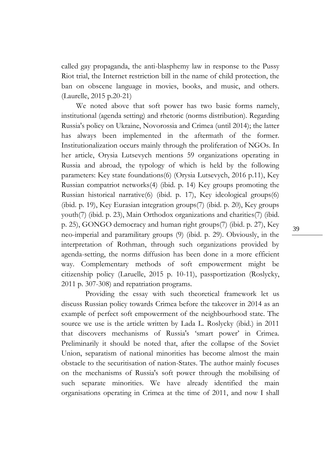called gay propaganda, the anti-blasphemy law in response to the Pussy Riot trial, the Internet restriction bill in the name of child protection, the ban on obscene language in movies, books, and music, and others. (Laurelle, 2015 p.20-21)

We noted above that soft power has two basic forms namely, institutional (agenda setting) and rhetoric (norms distribution). Regarding Russia's policy on Ukraine, Novorossia and Crimea (until 2014); the latter has always been implemented in the aftermath of the former. Institutionalization occurs mainly through the proliferation of NGOs. In her article, Orysia Lutsevych mentions 59 organizations operating in Russia and abroad, the typology of which is held by the following parameters: Key state foundations(6) (Orysia Lutsevych, 2016 p.11), Key Russian compatriot networks(4) (ibid. p. 14) Key groups promoting the Russian historical narrative(6) (ibid. p. 17), Key ideological groups(6) (ibid. p. 19), Key Eurasian integration groups(7) (ibid. p. 20), Key groups youth(7) (ibid. p. 23), Main Orthodox organizations and charities(7) (ibid. p. 25), GONGO democracy and human right groups(7) (ibid. p. 27), Key neo-imperial and paramilitary groups (9) (ibid. p. 29). Obviously, in the interpretation of Rothman, through such organizations provided by agenda-setting, the norms diffusion has been done in a more efficient way. Complementary methods of soft empowerment might be сitizenship policy (Laruelle, 2015 p. 10-11), passportization (Roslycky, 2011 p. 307-308) and repatriation programs.

Providing the essay with such theoretical framework let us discuss Russian policy towards Crimea before the takeover in 2014 as an example of perfect soft empowerment of the neighbourhood state. The source we use is the article written by Lada L. Roslycky (ibid.) in 2011 that discovers mechanisms of Russia's 'smart power' in Crimea. Preliminarily it should be noted that, after the collapse of the Soviet Union, separatism of national minorities has become almost the main obstacle to the securitisation of nation-States. The author mainly focuses on the mechanisms of Russia's soft power through the mobilising of such separate minorities. We have already identified the main organisations operating in Crimea at the time of 2011, and now I shall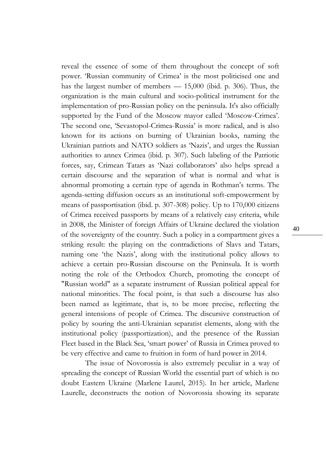reveal the essence of some of them throughout the concept of soft power. 'Russian community of Crimea' is the most politicised one and has the largest number of members — 15,000 (ibid. p. 306). Thus, the organization is the main cultural and socio-political instrument for the implementation of pro-Russian policy on the peninsula. It's also officially supported by the Fund of the Moscow mayor called 'Moscow-Crimea'. The second one, 'Sevastopol-Crimea-Russia' is more radical, and is also known for its actions on burning of Ukrainian books, naming the Ukrainian patriots and NATO soldiers as 'Nazis', and urges the Russian authorities to annex Crimea (ibid. p. 307). Such labeling of the Patriotic forces, say, Crimean Tatars as 'Nazi collaborators' also helps spread a certain discourse and the separation of what is normal and what is abnormal promoting a certain type of agenda in Rothman's terms. The agenda-setting diffusion occurs as an institutional soft-empowerment by means of passportisation (ibid. p. 307-308) policy. Up to 170,000 citizens of Crimea received passports by means of a relatively easy criteria, while in 2008, the Minister of foreign Affairs of Ukraine declared the violation of the sovereignty of the country. Such a policy in a compartment gives a striking result: the playing on the contradictions of Slavs and Tatars, naming one 'the Nazis', along with the institutional policy allows to achieve a certain pro-Russian discourse on the Peninsula. It is worth noting the role of the Orthodox Church, promoting the concept of "Russian world" as a separate instrument of Russian political appeal for national minorities. The focal point, is that such a discourse has also been named as legitimate, that is, to be more precise, reflecting the general intensions of people of Crimea. The discursive construction of policy by souring the anti-Ukrainian separatist elements, along with the institutional policy (passportization), and the presence of the Russian Fleet based in the Black Sea, 'smart power' of Russia in Crimea proved to be very effective and came to fruition in form of hard power in 2014.

The issue of Novorossia is also extremely peculiar in a way of spreading the concept of Russian World the essential part of which is no doubt Eastern Ukraine (Marlene Laurel, 2015). In her article, Marlene Laurelle, deconstructs the notion of Novorossia showing its separate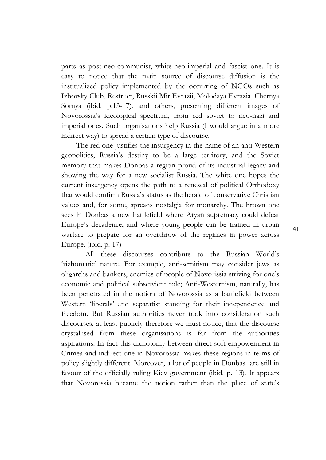parts as post-neo-communist, white-neo-imperial and fascist one. It is easy to notice that the main source of discourse diffusion is the institualized policy implemented by the occurring of NGOs such as Izborsky Club, Restruct, Russkii Mir Evrazii, Molodaya Evrazia, Chernya Sotnya (ibid. p.13-17), and others, presenting different images of Novorossia's ideological spectrum, from red soviet to neo-nazi and imperial ones. Such organisations help Russia (I would argue in a more indirect way) to spread a certain type of discourse.

The red one justifies the insurgency in the name of an anti-Western geopolitics, Russia's destiny to be a large territory, and the Soviet memory that makes Donbas a region proud of its industrial legacy and showing the way for a new socialist Russia. The white one hopes the current insurgency opens the path to a renewal of political Orthodoxy that would confirm Russia's status as the herald of conservative Christian values and, for some, spreads nostalgia for monarchy. The brown one sees in Donbas a new battlefield where Aryan supremacy could defeat Europe's decadence, and where young people can be trained in urban warfare to prepare for an overthrow of the regimes in power across Europe. (ibid. p. 17)

All these discourses contribute to the Russian World's 'rizhomatic' nature. For example, anti-semitism may consider jews as oligarchs and bankers, enemies of people of Novorissia striving for one's economic and political subservient role; Anti-Westernism, naturally, has been penetrated in the notion of Novorossia as a battlefield between Western 'liberals' and separatist standing for their independence and freedom. But Russian authorities never took into consideration such discourses, at least publicly therefore we must notice, that the discourse crystallised from these organisations is far from the authorities aspirations. In fact this dichotomy between direct soft empowerment in Crimea and indirect one in Novorossia makes these regions in terms of policy slightly different. Moreover, a lot of people in Donbas are still in favour of the officially ruling Kiev government (ibid. p. 13). It appears that Novorossia became the notion rather than the place of state's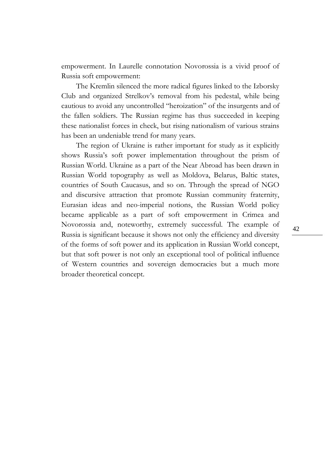empowerment. In Laurelle connotation Novorossia is a vivid proof of Russia soft empowerment:

The Kremlin silenced the more radical figures linked to the Izborsky Club and organized Strelkov's removal from his pedestal, while being cautious to avoid any uncontrolled "heroization" of the insurgents and of the fallen soldiers. The Russian regime has thus succeeded in keeping these nationalist forces in check, but rising nationalism of various strains has been an undeniable trend for many years.

The region of Ukraine is rather important for study as it explicitly shows Russia's soft power implementation throughout the prism of Russian World. Ukraine as a part of the Near Abroad has been drawn in Russian World topography as well as Moldova, Belarus, Baltic states, countries of South Caucasus, and so on. Through the spread of NGO and discursive attraction that promote Russian community fraternity, Eurasian ideas and neo-imperial notions, the Russian World policy became applicable as a part of soft empowerment in Crimea and Novorossia and, noteworthy, extremely successful. The example of Russia is significant because it shows not only the efficiency and diversity of the forms of soft power and its application in Russian World concept, but that soft power is not only an exceptional tool of political influence of Western countries and sovereign democracies but a much more broader theoretical concept.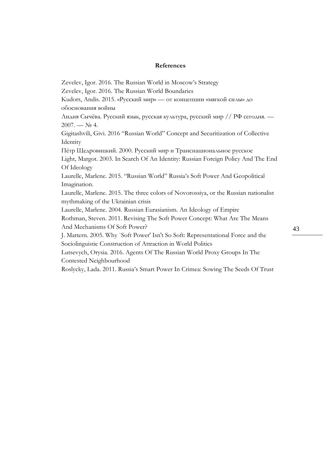#### **References**

Zevelev, Igor. 2016. The Russian World in Moscow's Strategy Zevelev, Igor. 2016. The Russian World Boundaries Kudors, Andis. 2015. «Русский мир» — от концепции «мягкой силы» до обоснования войны Лидия Сычёва. Русский язык, русская культура, русский мир // РФ сегодня. —  $2007. - N<sub>2</sub>$  4. Gigitashvili, Givi. 2016 "Russian World" Concept and Securitization of Collective **Identity** Пётр Щедровицкий. 2000. Русский мир и Транснациональное русское Light, Margot. 2003. In Search Of An Identity: Russian Foreign Policy And The End Of Ideology Laurelle, Marlene. 2015. "Russian World" Russia's Soft Power And Geopolitical Imagination. Laurelle, Marlene. 2015. The three colors of Novorossiya, or the Russian nationalist mythmaking of the Ukrainian crisis Laurelle, Marlene. 2004. Russian Eurasianism. An Ideology of Empire Rothman, Steven. 2011. Revising The Soft Power Concept: What Are The Means And Mechanisms Of Soft Power? J. Mattern. 2005. Why `Soft Power' Isn't So Soft: Representational Force and the Sociolinguistic Construction of Attraction in World Politics Lutsevych, Orysia. 2016. Agents Of The Russian World Proxy Groups In The Contested Neighbourhood Roslycky, Lada. 2011. Russia's Smart Power In Crimea: Sowing The Seeds Of Trust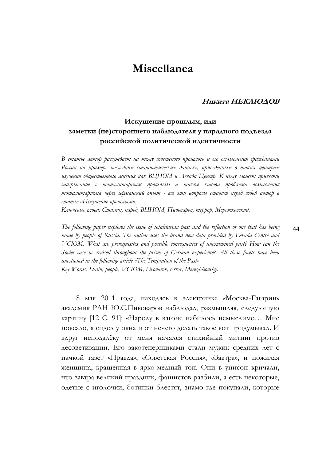# **Miscellanea**

### **Никита НЕКЛЮДОВ**

### **Искушение прошлым, или заметки (не)стороннего наблюдателя у парадного подъезда российской политической идентичности**

*В статье автор рассуждает на тему советского прошлого и его осмысления гражданами России на примере последних статистических данных, приведенных в таких центрах изучения общественного мнения как ВЦИОМ и Левада Центр. К чему может привести заигрывание с тоталитарным прошлым а также какова проблема осмысления тоталитаризма через германский опыт - все эти вопросы ставит перед собой автор в статье «Искушение прошлым».*

*Ключевые слова: Сталин, народ, ВЦИОМ, Пивоваров, террор, Мережковский.*

*The following paper explores the issue of totalitarian past and the reflection of one that has being made by people of Russia. The author uses the brand new data provided by Levada Centre and VCIOM. What are prerequisites and possible consequences of unexamined past? How can the Soviet case be revised throughout the prism of German experience? All these facets have been questioned in the following article «The Temptation of the Past» Key Words: Stalin, people, VCIOM, Pivovarov, terror, Merezhkovsky.*

8 мая 2011 года, находясь в электричке «Москва-Гагарин» академик РАН Ю.С.Пивоваров наблюдал, размышляя, следующую картину [12 С. 91]: «Народу в вагоне набилось немыслимо… Мне повезло, я сидел у окна и от нечего делать такое вот придумывал. И вдруг неподалёку от меня начался стихийный митинг против десоветизации. Его закотеперщиками стали мужик средних лет с пачкой газет «Правда», «Советская Россия», «Завтра», и пожилая женщина, крашенная в ярко-медный тон. Они в унисон кричали, что завтра великий праздник, фашистов разбили, а есть некоторые, одетые с иголочки, ботинки блестят, знамо где покупали, которые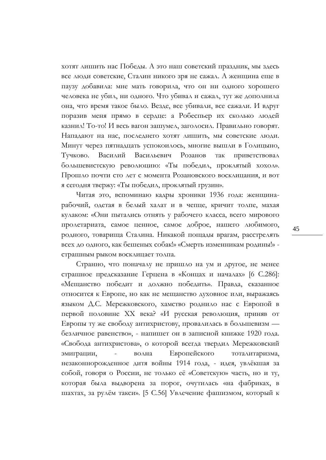хотят лишить нас Победы. А это наш советский праздник, мы здесь все люди советские, Сталин никого зря не сажал. А женщина еще в паузу добавила: мне мать говорила, что он ни одного хорошего человека не убил, ни одного. Что убивал и сажал, тут же дополнила она, что время такое было. Везде, все убивали, все сажали. И вдруг поразив меня прямо в сердце: а Робеспьер их сколько людей казнил! То-то! И весь вагон зашумел, заголосил. Правильно говорят. Нападают на нас, последнего хотят лишить, мы советские люди. Минут через пятнадцать успокоилось, многие вышли в Голицыно, Тучково. Василий Васильевич Розанов так приветствовал большевистскую революцию: «Ты победил, проклятый хохол». Прошло почти сто лет с момента Розановского восклицания, и вот я сегодня твержу: «Ты победил, проклятый грузин».

Читая это, вспоминаю кадры хроники 1936 года: женщинарабочий, одетая в белый халат и в чепце, кричит толпе, махая кулаком: «Они пытались отнять у рабочего класса, всего мирового пролетариата, самое ценное, самое доброе, нашего любимого, родного, товарища Сталина. Никакой пощады врагам, расстрелять всех до одного, как бешеных собак!» «Смерть изменникам родины!» страшным рыком восклицает толпа.

Странно, что поначалу не пришло на ум и другое, не менее страшное предсказание Герцена в «Концах и началах» [6 С.286]: «Мещанство победит и должно победить». Правда, сказанное относится к Европе, но как не мещанство духовное или, выражаясь языком Д.С. Мережковского, хамство роднило нас с Европой в первой половине ХХ века? «И русская революция, приняв от Европы ту же свободу антихристову, провалилась в большевизм безличное равенство», - напишет он в записной книжке 1920 года. «Свобода антихристова», о которой всегда твердил Мережковский эмиграции, - волна Европейского тоталитаризма, незаконнорожденное дитя войны 1914 года, - идея, увлёкшая за собой, говоря о России, не только её «Советскую» часть, но и ту, которая была выдворена за порог, очутилась «на фабриках, в шахтах, за рулём такси». [5 С.56] Увлечение фашизмом, который к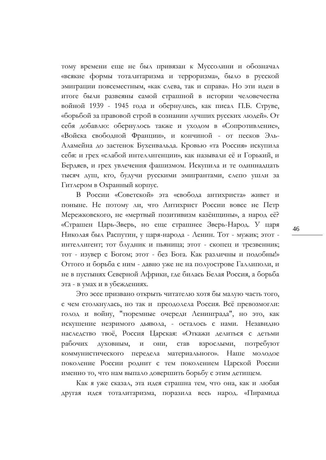тому времени еще не был привязан к Муссолини и обозначал «всякие формы тоталитаризма и терроризма», было в русской эмиграции повсеместным, «как слева, так и справа». Но эти идеи в итоге были развеяны самой страшной в истории человечества войной 1939 - 1945 года и обернулись, как писал П.Б. Струве, «борьбой за правовой строй в сознании лучших русских людей». От себя добавлю: обернулось также и уходом в «Сопротивление», «Войска свободной Франции», и кончиной - от песков Эль-Аламейна до застенок Бухенвальда. Кровью «та Россия» искупила себя: и грех «слабой интеллигенции», как называли её и Горький, и Бердяев, и грех увлечения фашизмом. Искупила и те одиннадцать тысяч душ, кто, будучи русскими эмигрантами, слепо ушли за Гитлером в Охранный корпус.

В России «Советской» эта «свобода антихриста» живет и поныне. Не потому ли, что Антихрист России вовсе не Петр Мережковского, не «мертвый позитивизм казёнщины», а народ её? «Страшен Царь-Зверь, но еще страшнее Зверь-Народ. У царя Николая был Распутин, у царя-народа - Ленин. Тот - мужик; этот интеллигент; тот блудник и пьяница; этот - скопец и трезвенник; тот - изувер с Богом; этот - без Бога. Как различны и подобны!» Оттого и борьба с ним - давно уже не на полуострове Галлиполи, и не в пустынях Северной Африки, где билась Белая Россия, а борьба эта - в умах и в убеждениях.

Это эссе призвано открыть читателю хотя бы малую часть того, с чем столкнулась, но так и преодолела Россия. Всё превозмогли: голод и войну, "тюремные очереди Ленинграда", но это, как искушение незримого дьявола, - осталось с нами. Незавидно наследство твоё, Россия Царская: «Откажи делиться с детьми рабочих духовным, и они, став взрослыми, потребуют коммунистического передела материального». Наше молодое поколение России роднит с тем поколением Царской России именно то, что нам выпало довершить борьбу с этим детищем.

Как я уже сказал, эта идея страшна тем, что она, как и любая другая идея тоталитаризма, поразила весь народ. «Пирамида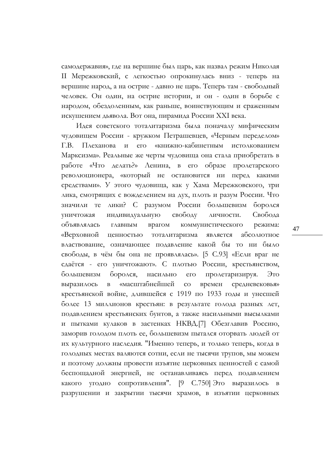самодержавия», где на вершине был царь, как назвал режим Николая II Мережковский, с легкостью опрокинулась вниз - теперь на вершине народ, а на острие - давно не царь. Теперь там - свободный человек. Он один, на острие истории, и он - один в борьбе с народом, обездоленным, как раньше, воинствующим и сраженным искушением дьявола. Вот она, пирамида России ХХI века.

Идея советского тоталитаризма была поначалу мифическим чудовищем России - кружком Петрашевцев, «Черным переделом» Г.В. Плеханова и его «книжно-кабинетным истолкованием Марксизма». Реальные же черты чудовища она стала приобретать в работе «Что делать?» Ленина, в его образе пролетарского революционера, «который не остановится ни перед какими средствами». У этого чудовища, как у Хама Мережковского, три лика, смотрящих с вожделением на дух, плоть и разум России. Что значили те лики? С разумом России большевизм боролся уничтожая индивидуальную свободу личности. Свобода объявлялась главным врагом коммунистического режима: «Верховной ценностью тоталитаризма является абсолютное властвование, означающее подавление какой бы то ни было свободы, в чём бы она не проявлялась». [5 С.93] «Если враг не сдаётся - его уничтожают». С плотью России, крестьянством, большевизм боролся, насильно его пролетаризируя. Это выразилось в «масштабнейшей со времен средневековья» крестьянской войне, длившейся с 1919 по 1933 годы и унесшей более 13 миллионов крестьян: в результате голода разных лет, подавлением крестьянских бунтов, а также насильными высылками и пытками кулаков в застенках НКВД.[7] Обезглавив Россию, заморив голодом плоть ее, большевизм пытался оторвать людей от их культурного наследия. "Именно теперь, и только теперь, когда в голодных местах валяются сотни, если не тысячи трупов, мы можем и поэтому должны провести изъятие церковных ценностей с самой беспощадной энергией, не останавливаясь перед подавлением какого угодно сопротивления". [9 С.750] Это выразилось в разрушении и закрытии тысячи храмов, в изъятии церковных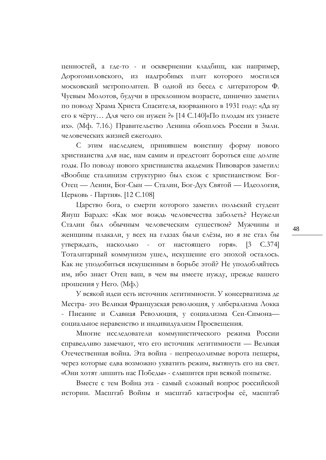ценностей, а где-то - и осквернении кладбищ, как например, Дорогомиловского, из надгробных плит которого мостился московский метрополитен. В одной из бесед с литератором Ф. Чуевым Молотов, будучи в преклонном возрасте, цинично заметил по поводу Храма Христа Спасителя, взорванного в 1931 году: «Да ну его к чёрту… Для чего он нужен ?» [14 С.140]«По плодам их узнаете их». (Мф. 7.16.) Правительство Ленина обошлось России в 3млн. человеческих жизней ежегодно.

С этим наследием, принявшем воистину форму нового христианства для нас, нам самим и предстоит бороться еще долгие годы. По поводу нового христианства академик Пивоваров заметил: «Вообще сталинизм структурно был схож с христианством: Бог-Отец — Ленин, Бог-Сын — Сталин, Бог-Дух Святой — Идеология, Церковь - Партия». [12 С.108]

Царство бога, о смерти которого заметил польский студент Януш Бардах: «Как мог вождь человечества заболеть? Неужели Сталин был обычным человеческим существом? Мужчины и женщины плакали, у всех на глазах были слёзы, но я не стал бы утверждать, насколько - от настоящего горя». [3 С.374] Тоталитарный коммунизм ушел, искушение его эпохой осталось. Как не уподобиться искушенным в борьбе этой? Не уподобляйтесь им, ибо знает Отец ваш, в чем вы имеете нужду, прежде вашего прошения у Него. (Мф.)

У всякой идеи есть источник легитимности. У консерватизма де Местра- это Великая Французская революция, у либерализма Локка - Писание и Славная Революция, у социализма Сен-Симона социальное неравенство и индивидуализм Просвещения.

Многие исследователи коммунистического режима России справедливо замечают, что его источник легитимности — Великая Отечественная война. Эта война - непреодолимые ворота пещеры, через которые едва возможно ухватить режим, вытянуть его на свет. «Они хотят лишить нас Победы» - слышится при всякой попытке.

Вместе с тем Война эта - самый сложный вопрос российской истории. Масштаб Войны и масштаб катастрофы её, масштаб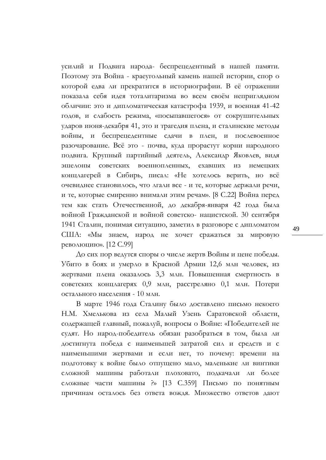усилий и Подвига народа- беспрецедентный в нашей памяти. Поэтому эта Война - краеугольный камень нашей истории, спор о которой едва ли прекратится в историографии. В её отражении показала себя идея тоталитаризма во всем своём неприглядном обличии: это и дипломатическая катастрофа 1939, и военная 41-42 годов, и слабость режима, «посыпавшегося» от сокрушительных ударов июня-декабря 41, это и трагедия плена, и сталинские методы войны, и беспрецедентные сдачи в плен, и послевоенное разочарование. Всё это - почва, куда прорастут корни народного подвига. Крупный партийный деятель, Александр Яковлев, видя эшелоны советских военнопленных, ехавших из немецких концлагерей в Сибирь, писал: «Не хотелось верить, но всё очевиднее становилось, что лгали все - и те, которые держали речи, и те, которые смиренно внимали этим речам». [8 С.22] Война перед тем как стать Отечественной, до декабря-января 42 года была войной Гражданской и войной советско- нацистской. 30 сентября 1941 Сталин, понимая ситуацию, заметил в разговоре с дипломатом США: «Мы знаем, народ не хочет сражаться за мировую революцию». [12 С.99]

До сих пор ведутся споры о числе жертв Войны и цене победы. Убито в боях и умерло в Красной Армии 12,6 млн человек, из жертвами плена оказалось 3,3 млн. Повышенная смертность в советских концлагерях 0,9 млн, расстреляно 0,1 млн. Потери остального населения - 10 млн.

В марте 1946 года Сталину было доставлено письмо некоего Н.М. Хмелькова из села Малый Узень Саратовской области, содержащей главный, пожалуй, вопросы о Войне: «Победителей не судят. Но народ-победитель обязан разобраться в том, была ли достигнута победа с наименьшей затратой сил и средств и с наименьшими жертвами и если нет, то почему: времени на подготовку к войне было отпущено мало, маленькие ли винтики сложной машины работали плоховато, подкачали ли более сложные части машины ?» [13 С.359] Письмо по понятным причинам осталось без ответа вождя. Множество ответов дают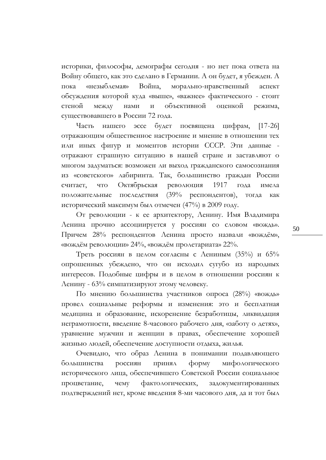историки, философы, демографы сегодня - но нет пока ответа на Войну общего, как это сделано в Германии. А он будет, я убежден. А пока «незыблемая» Война, морально-нравственный аспект обсуждения которой куда «выше», «важнее» фактического - стоит стеной между нами и объективной оценкой режима, существовавшего в России 72 года.

Часть нашего эссе будет посвящена цифрам, [17-26] отражающим общественное настроение и мнение в отношении тех или иных фигур и моментов истории СССР. Эти данные отражают страшную ситуацию в нашей стране и заставляют о многом задуматься: возможен ли выход гражданского самосознания из «советского» лабиринта. Так, большинство граждан России считает, что Октябрьская революция 1917 года имела положительные последствия (39% респондентов), тогда как исторический максимум был отмечен (47%) в 2009 году.

От революции - к ее архитектору, Ленину. Имя Владимира Ленина прочно ассоциируется у россиян со словом «вождь». Причем 28% респондентов Ленина просто назвали «вождём», «вождём революции» 24%, «вождём пролетариата» 22%.

Треть россиян в целом согласны с Лениным (35%) и 65% опрошенных убеждено, что он исходил сугубо из народных интересов. Подобные цифры и в целом в отношении россиян к Ленину - 63% симпатизируют этому человеку.

По мнению большинства участников опроса (28%) «вождь» провел социальные реформы и изменения: это и бесплатная медицина и образование, искоренение безработицы, ликвидация неграмотности, введение 8-часового рабочего дня, «заботу о детях», уравнение мужчин и женщин в правах, обеспечение хорошей жизнью людей, обеспечение доступности отдыха, жилья.

Очевидно, что образ Ленина в понимании подавляющего большинства россиян принял форму мифологического исторического лица, обеспечившего Советской России социальное процветание, чему фактологических, задокументированных подтверждений нет, кроме введения 8-ми часового дня, да и тот был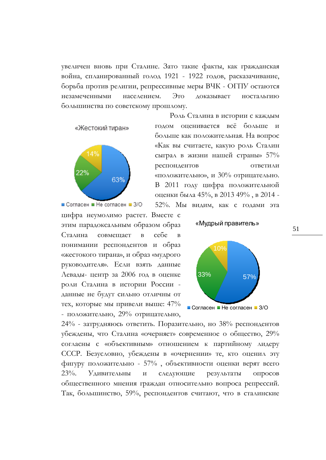увеличен вновь при Сталине. Зато такие факты, как гражданская война, спланированный голод 1921 - 1922 годов, расказачивание, борьба против религии, репрессивные меры ВЧК - ОГПУ остаются незамеченными населением. Это доказывает ностальгию большинства по советскому прошлому.





цифра неумолимо растет. Вместе с этим парадоксальным образом образ Сталина совмещает в себе в понимании респондентов и образ «жестокого тирана», и образ «мудрого руководителя». Если взять данные Левады- центр за 2006 год в оценке роли Сталина в истории России данные не будут сильно отличны от тех, которые мы привели выше: 47% - положительно, 29% отрицательно,

Роль Сталина в истории с каждым годом оценивается всё больше и больше как положительная. На вопрос «Как вы считаете, какую роль Сталин сыграл в жизни нашей страны» 57% респондентов ответили «положительно», и 30% отрицательно. В 2011 году цифра положительной оценки была 45%, в 2013 49% , в 2014 - 52%. Мы видим, как с годами эта

«Мудрый правитель»



24% - затрудняюсь ответить. Поразительно, но 38% респондентов убеждены, что Сталина «очерняет» современное о общество, 29% согласны с «объективным» отношением к партийному лидеру СССР. Безусловно, убеждены в «очернении» те, кто оценил эту фигуру положительно - 57% , объективности оценки верят всего 23%. Удивительны и следующие результаты опросов общественного мнения граждан относительно вопроса репрессий. Так, большинство, 59%, респондентов считают, что в сталинские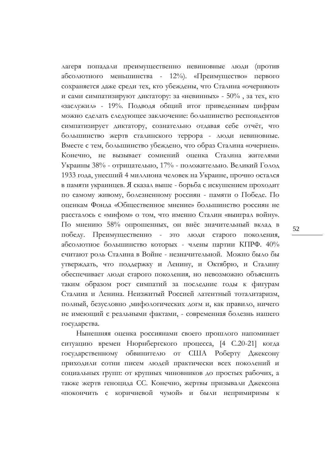лагеря попадали преимущественно невиновные люди (против абсолютного меньшинства - 12%). «Преимущество» первого сохраняется даже среди тех, кто убеждены, что Сталина «очерняют» и сами симпатизируют диктатору: за «невинных» -  $50\%$ , за тех, кто «заслужил» - 19%. Подводя общий итог приведенным цифрам можно сделать следующее заключение: большинство респондентов симпатизирует диктатору, сознательно отдавая себе отчёт, что большинство жертв сталинского террора - люди невиновные. Вместе с тем, большинство убеждено, что образ Сталина «очернен». Конечно, не вызывает сомнений оценка Сталина жителями Украины 38% - отрицательно, 17% - положительно. Великий Голод 1933 года, унесший 4 миллиона человек на Украине, прочно остался в памяти украинцев. Я сказал выше - борьба с искушением проходит по самому живому, болезненному россиян - памяти о Победе. По оценкам Фонда «Общественное мнение» большинство россиян не рассталось с «мифом» о том, что именно Сталин «выиграл войну». По мнению 58% опрошенных, он внёс значительный вклад в победу. Преимущественно - это люди старого поколения, абсолютное большинство которых - члены партии КПРФ. 40% считают роль Сталина в Войне - незначительной. Можно было бы утверждать, что поддержку и Ленину, и Октябрю, и Сталину обеспечивает люди старого поколения, но невозможно объяснить таким образом рост симпатий за последние годы к фигурам Сталина и Ленина. Неизжитый Россией латентный тоталитаризм, полный, безусловно ,мифологических догм и, как правило, ничего не имеющий с реальными фактами, - современная болезнь нашего государства.

Нынешняя оценка россиянами своего прошлого напоминает ситуацию времен Нюрнбергского процесса, [4 С.20-21] когда государственному обвинителю от США Роберту Джексону приходили сотни писем людей практически всех поколений и социальных групп: от крупных чиновников до простых рабочих, а также жертв геноцида СС. Конечно, жертвы призывали Джексона «покончить с коричневой чумой» и были непримиримы к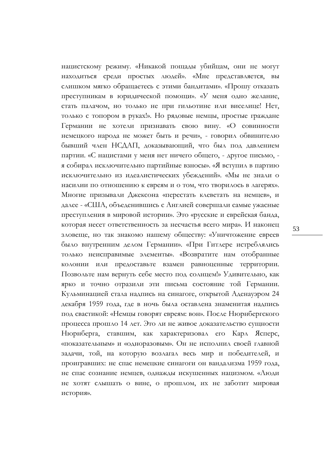нацистскому режиму. «Никакой пощады убийцам, они не могут находиться среди простых людей». «Мне представляется, вы слишком мягко обращаетесь с этими бандитами». «Прошу отказать преступникам в юридической помощи». «У меня одно желание, стать палачом, но только не при гильотине или виселице! Нет, только с топором в руках!». Но рядовые немцы, простые граждане Германии не хотели признавать свою вину. «О совинности немецкого народа не может быть и речи», - говорил обвинителю бывший член НСДАП, доказывающий, что был под давлением партии. «С нацистами у меня нет ничего общего, - другое письмо, я собирал исключительно партийные взносы». «Я вступил в партию исключительно из идеалистических убеждений». «Мы не знали о насилии по отношению к евреям и о том, что творилось в лагерях». Многие призывали Джексона «перестать клеветать на немцев», и далее - «США, объеденившись с Англией совершали самые ужасные преступления в мировой истории». Это «русские и еврейская банда, которая несет ответственность за несчастья всего мира». И наконец зловеще, но так знакомо нашему обществу: «Уничтожение евреев было внутренним делом Германии». «При Гитлере истреблялись только неисправимые элементы». «Возвратите нам отобранные колонии или предоставьте взамен равноценные территории. Позвольте нам вернуть себе место под солнцем!» Удивительно, как ярко и точно отразили эти письма состояние той Германии. Кульминацией стала надпись на синагоге, открытой Аденауэром 24 декабря 1959 года, где в ночь была оставлена знаменитая надпись под свастикой: «Немцы говорят евреям: вон». После Нюрнбергского процесса прошло 14 лет. Это ли не живое доказательство сущности Нюрнберга, ставшим, как характеризовал его Карл Ясперс, «показательным» и «одноразовым». Он не исполнил своей главной задачи, той, на которую возлагал весь мир и победителей, и проигравших: не спас немецкие синагоги он вандализма 1959 года, не спас сознание немцев, однажды искушенных нацизмом. «Люди не хотят слышать о вине, о прошлом, их не заботит мировая история».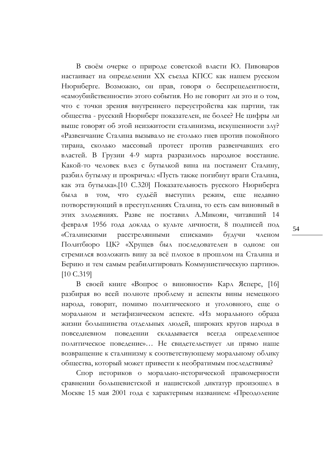В своём очерке о природе советской власти Ю. Пивоваров настаивает на определении ХХ съезда КПСС как нашем русском Нюрнберге. Возможно, он прав, говоря о беспрецедентности, «самоубийственности» этого события. Но не говорит ли это и о том, что с точки зрения внутреннего переустройства как партии, так общества - русский Нюрнберг показателен, не более? Не цифры ли выше говорят об этой неизжитости сталинизма, искушенности злу? «Развенчание Сталина вызывало не столько гнев против покойного тирана, сколько массовый протест против развенчавших его властей. В Грузии 4-9 марта разразилось народное восстание. Какой-то человек влез с бутылкой вина на постамент Сталину, разбил бутылку и прокричал: «Пусть также погибнут враги Сталина, как эта бутылка».[10 C.320] Показательность русского Нюрнберга была в том, что судьёй выступил режим, еще недавно потворствующий в преступлениях Сталина, то есть сам виновный в этих злодеяниях. Разве не поставил А.Микоян, читавший 14 февраля 1956 года доклад о культе личности, 8 подписей под «Сталинскими расстрелянными списками» будучи членом Политбюро ЦК? «Хрущев был последователен в одном: он стремился возложить вину за всё плохое в прошлом на Сталина и Берию и тем самым реабилитировать Коммунистическую партию». [10 С.319]

В своей книге «Вопрос о виновности» Карл Ясперс, [16] разбирая во всей полноте проблему и аспекты вины немецкого народа, говорит, помимо политического и уголовного, еще о моральном и метафизическом аспекте. «Из морального образа жизни большинства отдельных людей, широких кругов народа в повседневном поведении складывается всегда определенное политическое поведение»… Не свидетельствует ли прямо наше возвращение к сталинизму к соответствующему моральному облику общества, который может привести к необратимым последствиям?

Спор историков о морально-исторической правомерности сравнении большевистской и нацистской диктатур произошел в Москве 15 мая 2001 года с характерным названием: «Преодоление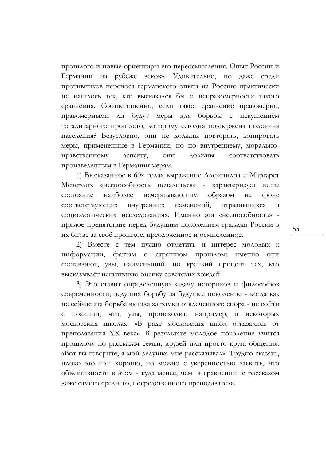прошлого и новые ориентиры его переосмысления. Опыт России и Германии на рубеже веков». Удивительно, но даже среди противников переноса германского опыта на Россию практически не нашлось тех, кто высказался бы о неправомерности такого сравнения. Соответственно, если такое сравнение правомерно, правомерными ли будут меры для борьбы с искушением тоталитарного прошлого, которому сегодня подвержена половина населения? Безусловно, они не должны повторять, копировать меры, примененные в Германии, но по внутреннему, моральнонравственному аспекту, они должны соответствовать произведенным в Германии мерам.

1) Высказанное в 60х годах выражение Александра и Маргарет Мечерлих «неспособность печалиться» - характеризует наше состояние наиболее исчерпывающим образом на фоне соответствующих внутренних изменений, отразившихся в социологических исследованиях. Именно эта «неспособность» прямое препятствие перед будущим поколением граждан России в их битве за своё прошлое, преодоленное и осмысленное.

2) Вместе с тем нужно отметить и интерес молодых к информации, фактам о страшном прошлом: именно они составляют, увы, наименьший, но крепкий процент тех, кто высказывает негативную оценку советских вождей.

3) Это ставит определенную задачу историков и философов современности, ведущих борьбу за будущее поколение - когда как не сейчас эта борьба вышла за рамки отвлеченного спора - не сойти с позиции, что, увы, происходит, например, в некоторых московских школах. «В ряде московских школ отказались от преподавания ХХ века». В результате молодое поколение учится прошлому по рассказам семьи, друзей или просто круга общения. «Вот вы говорите, а мой дедушка мне рассказывал». Трудно сказать, плохо это или хорошо, но можно с уверенностью заявить, что объективности в этом - куда менее, чем в сравнении с рассказом даже самого среднего, посредственного преподавателя.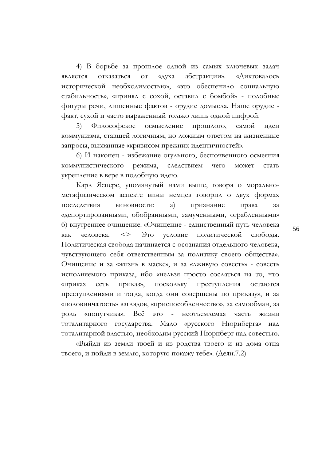4) В борьбе за прошлое одной из самых ключевых задач является отказаться от «духа абстракции». «Диктовалось исторической необходимостью», «это обеспечило социальную стабильность», «принял с сохой, оставил с бомбой» - подобные фигуры речи, лишенные фактов - орудие домысла. Наше орудие факт, сухой и часто выраженный только лишь одной цифрой.

5) Философское осмысление прошлого, самой идеи коммунизма, ставшей логичным, но ложным ответом на жизненные запросы, вызванные «кризисом прежних идентичностей».

6) И наконец - избежание огульного, беспочвенного осмеяния коммунистического режима, следствием чего может стать укрепление в вере в подобную идею.

Карл Ясперс, упомянутый нами выше, говоря о моральнометафизическом аспекте вины немцев говорил о двух формах последствия виновности: а) признание права «депортированными, обобранными, замученными, ограбленными» б) внутреннее очищение. «Очищение - единственный путь человека как человека. <> Это условие политической свободы. Политическая свобода начинается с осознания отдельного человека, чувствующего себя ответственным за политику своего общества». Очищение и за «жизнь в маске», и за «лживую совесть» - совесть исполняемого приказа, ибо «нельзя просто сослаться на то, что «приказ есть приказ», поскольку преступления остаются преступлениями и тогда, когда они совершены по приказу», и за «половинчатость» взглядов, «приспособленчество», за самообман, за роль «попутчика». Всё это - неотъемлемая часть жизни тоталитарного государства. Мало «русского Нюрнберга» над тоталитарной властью, необходим русский Нюрнберг над совестью.

«Выйди из земли твоей и из родства твоего и из дома отца твоего, и пойди в землю, которую покажу тебе». (Деян.7.2)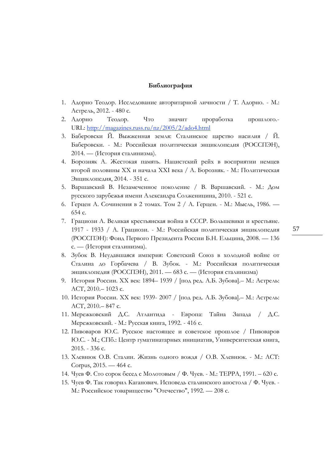#### **Библиография**

- 1. Адорно Теодор. Исследование авторитарной личности / Т. Адорно. М.: Астрель, 2012. - 480 с.
- 2. Адорно Теодор. Что значит проработка прошлого.- URL: [http://magazines.russ.ru/nz/2005/2/ado4.html](https://vk.com/away.php?utf=1&to=http%253A%252F%252Fmagazines.russ.ru%252Fnz%252F2005%252F2%252Fado4.html)
- 3. Баберовски Й. Выжженная земля: Сталинское царство насилия / Й. Баберовски. - М.: Российская политическая энциклопедия (РОССПЭН), 2014. — (История сталинизма).
- 4. Борозняк А. Жестокая память. Нацистский рейх в восприятии немцев второй половины ХХ и начала XXI века / А. Борозняк. - М.: Политическая Энциклопедия, 2014. - 351 с.
- 5. Варшавский В. Незамеченное поколение / В. Варшавский. М.: Дом русского зарубежья имени Александра Солженицина, 2010. - 521 с.
- 6. Герцен А. Сочинения в 2 томах. Том 2 / А. Герцен. М.: Мысль, 1986. 654 с.
- 7. Грациози А. Великая крестьянская война в СССР. Большевики и крестьяне. 1917 - 1933 / А. Грациози. - М.: Российская политическая энциклопедия (РОССПЭН): Фонд Первого Президента России Б.Н. Ельцина, 2008. — 136 с. — (История сталинизма).
- 8. Зубок В. Неудавшаяся империя: Советский Союз в холодной войне от Сталина до Горбачева / В. Зубок. - М.: Российская политическая энциклопедия (РОССПЭН), 2011. — 683 с. — (История сталинизма)
- 9. История России. XX век: 1894– 1939 / [под ред. А.Б. Зубова].– М.: Астрель: АСТ, 2010.– 1023 с.
- 10. История России. XX век: 1939- 2007 / [под ред. А.Б. Зубова].– М.: Астрель: АСТ, 2010.– 847 с.
- 11. Мережковский Д.С. Атлантида Европа: Тайна Запада / Д.С. Мережковский. - М.: Русская книга, 1992. - 416 с.
- 12. Пивоваров Ю.С. Русское настоящее и советское прошлое / Пивоваров Ю.С. - М.; СПб.: Центр гуматинатарных инициатив, Университетская книга, 2015. - 336 с.
- 13. Хлевнюк О.В. Сталин. Жизнь одного вождя / О.В. Хлевнюк. М.: ACT: Corpus, 2015. — 464 с.
- 14. Чуев Ф. Сто сорок бесед с Молотовым / Ф. Чуев. М.: ТЕРРА, 1991. 620 с.
- 15. Чуев Ф. Так говорил Каганович. Исповедь сталинского апостола / Ф. Чуев. М.: Российское товарищество "Отечество", 1992. — 208 с.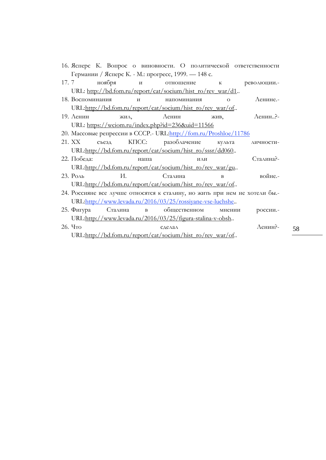|                                                     |                                                                            |    |  |                 |  |                | 16. Ясперс К. Вопрос о виновности. О политической ответственности |  |
|-----------------------------------------------------|----------------------------------------------------------------------------|----|--|-----------------|--|----------------|-------------------------------------------------------------------|--|
| Германии / Ясперс К. - М.: прогресс, 1999. — 148 с. |                                                                            |    |  |                 |  |                |                                                                   |  |
|                                                     |                                                                            |    |  |                 |  |                | 17.7 ноября и отношение к революции.                              |  |
|                                                     | URL: http://bd.fom.ru/report/cat/socium/hist_ro/rev_war/d1.                |    |  |                 |  |                |                                                                   |  |
|                                                     | 18. Воспоминания                                                           |    |  | и напоминания   |  | $\Omega$       | $\Lambda$ енине.-                                                 |  |
|                                                     | URL:http://bd.fom.ru/report/cat/socium/hist_ro/rev_war/of                  |    |  |                 |  |                |                                                                   |  |
|                                                     | 19. $\Lambda$ енин                                                         |    |  | жил, Ленин жив, |  |                | Ленин?-                                                           |  |
|                                                     | URL: https://wciom.ru/index.php?id=236&uid=11566                           |    |  |                 |  |                |                                                                   |  |
|                                                     | 20. Массовые репрессии в СССР.- URL:http://fom.ru/Proshloe/11786           |    |  |                 |  |                |                                                                   |  |
|                                                     | 21. XX                                                                     |    |  |                 |  |                | съезд КПСС: разоблачение культа личности-                         |  |
|                                                     | URL:http://bd.fom.ru/report/cat/socium/hist_ro/sssr/dd060.                 |    |  |                 |  |                |                                                                   |  |
|                                                     | 22. Победа:<br>наша                                                        |    |  | ИЛИ             |  |                | Сталина?-                                                         |  |
|                                                     | URL:http://bd.fom.ru/report/cat/socium/hist ro/rev war/gu                  |    |  |                 |  |                |                                                                   |  |
|                                                     | 23. Роль                                                                   | И. |  | Сталина         |  | $\overline{B}$ | войне.-                                                           |  |
|                                                     | URL:http://bd.fom.ru/report/cat/socium/hist_ro/rev_war/of                  |    |  |                 |  |                |                                                                   |  |
|                                                     | 24. Россияне все лучше относятся к сталину, но жить при нем не хотели бы.- |    |  |                 |  |                |                                                                   |  |
|                                                     | URL:http://www.levada.ru/2016/03/25/rossiyane-vse-luchshe                  |    |  |                 |  |                |                                                                   |  |
|                                                     | 25. Фигура Сталина в общественном мнении                                   |    |  |                 |  |                | россии.-                                                          |  |
|                                                     | URL:http://www.levada.ru/2016/03/25/figura-stalina-v-obsh                  |    |  |                 |  |                |                                                                   |  |
|                                                     | 26. Что                                                                    |    |  | СДЕЛАЛ          |  |                | Ленин?-                                                           |  |
|                                                     | URL:http://bd.fom.ru/report/cat/socium/hist_ro/rev_war/of                  |    |  |                 |  |                |                                                                   |  |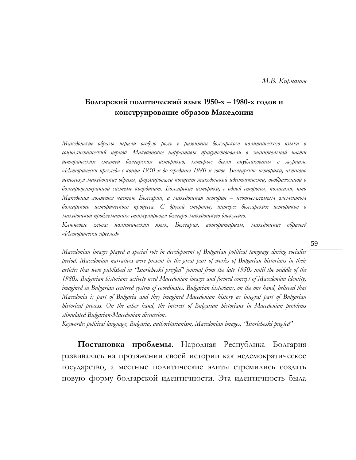*М.В. Кирчанов*

### **Болгарский политический язык 1950-х – 1980-х годов и конструирование образов Македонии**

*Македонские образы играли особую роль в развитии болгарского политического языка в социалистический период. Македонские нарративы присутствовали в значительной части исторических статей болгарских историков, которые были опубликованы в журнале «Исторически преглед» с конца 1950-х до середины 1980-х годов. Болгарские историки, активно используя македонские образы, формировали концепт македонской идентичности, воображенной в болгароцентричной системе координат. Болгарские историки, с одной стороны, полагали, что Македония является частью Болгарии, а македонская история – неотъемлемым элементом болгарского исторического процесса. С другой стороны, интерес болгарских историков в македонской проблематике стимулировал болгаро-македонскую дискуссию.* 

*Ключевые слова: политический язык, Болгария, авторитаризм, македонские образы? «Исторически преглед»* 

*Macedonian images played a special role in development of Bulgarian political language during socialist period. Macedonian narratives were present in the great part of works of Bulgarian historians in their articles that were published in "Istoricheski pregled" journal from the late 1950s until the middle of the 1980s. Bulgarian historians actively used Macedonian images and formed concept of Macedonian identity, imagined in Bulgarian centered system of coordinates. Bulgarian historians, on the one hand, believed that Macedonia is part of Bulgaria and they imagined Macedonian history as integral part of Bulgarian historical process. On the other hand, the interest of Bulgarian historians in Macedonian problems stimulated Bulgarian-Macedonian discussion.*

*Keywords: political language, Bulgaria, authoritarianism, Macedonian images, "Istoricheski pregled"*

**Постановка проблемы**. Народная Республика Болгария развивалась на протяжении своей истории как недемократическое государство, а местные политические элиты стремились создать новую форму болгарской идентичности. Эта идентичность была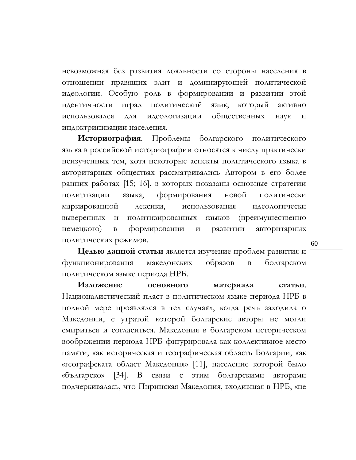невозможная без развития лояльности со стороны населения в отношении правящих элит и доминирующей политической идеологии. Особую роль в формировании и развитии этой идентичности играл политический язык, который активно использовался для идеологизации общественных наук и индоктринизации населения.

**Историография**. Проблемы болгарского политического языка в российской историографии относятся к числу практически неизученных тем, хотя некоторые аспекты политического языка в авторитарных обществах рассматривались Автором в его более ранних работах [15; 16], в которых показаны основные стратегии политизации языка, формирования новой политически маркированной лексики, использования идеологически выверенных и политизированных языков (преимущественно немецкого) в формировании и развитии авторитарных политических режимов.

**Целью данной статьи** является изучение проблем развития и функционирования македонских образов в болгарском политическом языке периода НРБ.

**Изложение основного материала статьи**. Националистический пласт в политическом языке периода НРБ в полной мере проявлялся в тех случаях, когда речь заходила о Македонии, с утратой которой болгарские авторы не могли смириться и согласиться. Македония в болгарском историческом воображении периода НРБ фигурировала как коллективное место памяти, как историческая и географическая область Болгарии, как «географската област Македония» [11], население которой было «българско» [34]. В связи с этим болгарскими авторами подчеркивалась, что Пиринская Македония, входившая в НРБ, «не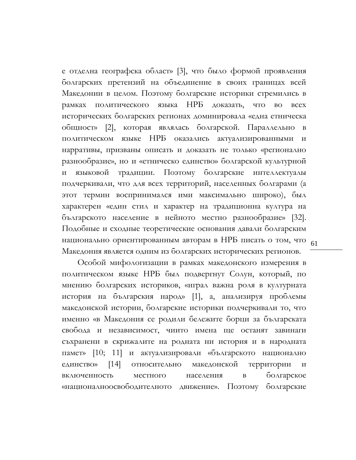национально ориентированным авторам в НРБ писать о том, что <sub>61</sub> е отделна географска област» [3], что было формой проявления болгарских претензий на объединение в своих границах всей Македонии в целом. Поэтому болгарские историки стремились в рамках политического языка НРБ доказать, что во всех исторических болгарских регионах доминировала «една етническа общност» [2], которая являлась болгарской. Параллельно в политическом языке НРБ оказались актуализированными и нарративы, призваны описать и доказать не только «регионално разнообразие», но и «етническо единство» болгарской культурной и языковой традиции. Поэтому болгарские интеллектуалы подчеркивали, что для всех территорий, населенных болгарами (а этот термин воспринимался ими максимально широко), был характерен «един стил и характер на традиционна култура на българското население в нейното местно разнообразие» [32]. Подобные и сходные теоретические основания давали болгарским Македония является одним из болгарских исторических регионов.

Особой мифологизации в рамках македонского измерения в политическом языке НРБ был подвергнут Солун, который, по мнению болгарских историков, «играл важна роля в културната история на българския народ» [1], а, анализируя проблемы македонской истории, болгарские историки подчеркивали то, что именно «в Македония се родили бележите борци за българската свобода и независимост, чиито имена ще останят завинаги съхранени в скрижалите на родната ни история и в народната памет» [10; 11] и актуализировали «българското национално единство» [14] относительно македонской территории включенность местного населения в болгарское «националноосвободителното движение». Поэтому болгарские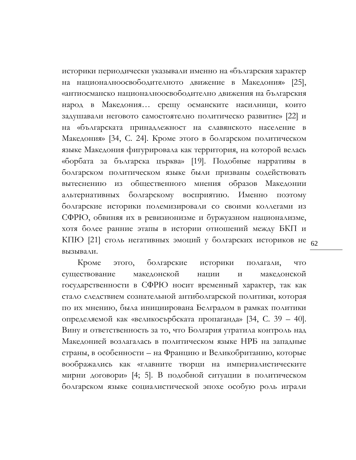КПЮ [21] столь негативных эмоций у болгарских историков не <sub>62</sub> историки периодически указывали именно на «българския характер на националноосвободителното движение в Македония» [25], «антиосманско националноосвободително движения на българския народ в Македония… срещу османските насилници, които задушавали неговото самостоятелно политическо развитие» [22] и на «българската принадлежност на славянското население в Македония» [34, C. 24]. Кроме этого в болгарском политическом языке Македония фигурировала как территория, на которой велась «борбата за българска църква» [19]. Подобные нарративы в болгарском политическом языке были призваны содействовать вытеснению из общественного мнения образов Македонии альтернативных болгарскому восприятию. Именно поэтому болгарские историки полемизировали со своими коллегами из СФРЮ, обвиняя их в ревизионизме и буржуазном национализме, хотя более ранние этапы в истории отношений между БКП и вызывали.

Кроме этого, болгарские историки полагали, что существование македонской нации и македонской государственности в СФРЮ носит временный характер, так как стало следствием сознательной антиболгарской политики, которая по их мнению, была инициирована Белградом в рамках политики определяемой как «великосърбската пропаганда» [34, C. 39 – 40]. Вину и ответственность за то, что Болгария утратила контроль над Македонией возлагалась в политическом языке НРБ на западные страны, в особенности – на Францию и Великобританию, которые воображались как «главните творци на империалистическите мирни договори» [4; 5]. В подобной ситуации в политическом болгарском языке социалистической эпохе особую роль играли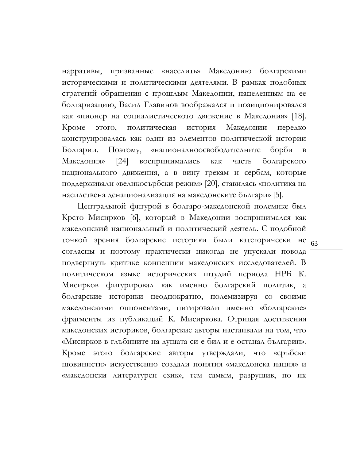нарративы, призванные «населить» Македонию болгарскими историческими и политическими деятелями. В рамках подобных стратегий обращения с прошлым Македонии, нацеленным на ее болгаризацию, Васил Главинов воображался и позиционировался как «пионер на социалистическото движение в Македония» [18]. Кроме этого, политическая история Македонии нередко конструировалась как один из элементов политической истории Болгарии. Поэтому, «националноосвободителните борби в Македония» [24] воспринимались как часть болгарского национального движения, а в вину грекам и сербам, которые поддерживали «великосърбски режим» [20], ставилась «политика на насилствена денационализация на македонските българи» [5].

точкой зрения болгарские историки были категорически не <sub>63</sub> Центральной фигурой в болгаро-македонской полемике был Крсто Мисирков [6], который в Македонии воспринимался как македонский национальный и политический деятель. С подобной согласны и поэтому практически никогда не упускали повода подвергнуть критике концепции македонских исследователей. В политическом языке исторических штудий периода НРБ К. Мисирков фигурировал как именно болгарский политик, а болгарские историки неоднократно, полемизируя со своими македонскими оппонентами, цитировали именно «болгарские» фрагменты из публикаций К. Мисиркова. Отрицая достижения македонских историков, болгарские авторы настаивали на том, что «Мисирков в глъбините на душата си е бил и е останал българин». Кроме этого болгарские авторы утверждали, что «сръбски шовинисти» искусственно создали понятия «македонска нация» и «македонски литературен език», тем самым, разрушив, по их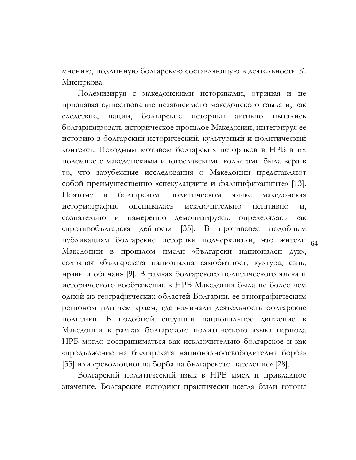мнению, подлинную болгарскую составляющую в деятельности К. Мисиркова.

публикациям болгарские историки подчеркивали, что жители <sub>64</sub> Полемизируя с македонскими историками, отрицая и не признавая существование независимого македонского языка и, как следствие, нации, болгарские историки активно пытались болгаризировать историческое прошлое Македонии, интегрируя ее историю в болгарский исторический, культурный и политический контекст. Исходным мотивом болгарских историков в НРБ в их полемике с македонскими и югославскими коллегами была вера в то, что зарубежные исследования о Македонии представляют собой преимущественно «спекулациите и фалшификациите» [13]. Поэтому в болгарском политическом языке македонская историография оценивалась исключительно негативно и, сознательно и намеренно демонизируясь, определялась как «противобългарска дейност» [35]. В противовес подобным Македонии в прошлом имели «български национален дух», сохраняя «българската национална самобитност, култура, език, нрави и обичаи» [9]. В рамках болгарского политического языка и исторического воображения в НРБ Македония была не более чем одной из географических областей Болгарии, ее этнографическим регионом или тем краем, где начинали деятельность болгарские политики. В подобной ситуации национальное движение в Македонии в рамках болгарского политического языка периода НРБ могло восприниматься как исключительно болгарское и как «продължение на българската националноосвободителна борба» [33] или «революционна борба на българското население» [28].

Болгарский политический язык в НРБ имел и прикладное значение. Болгарские историки практически всегда были готовы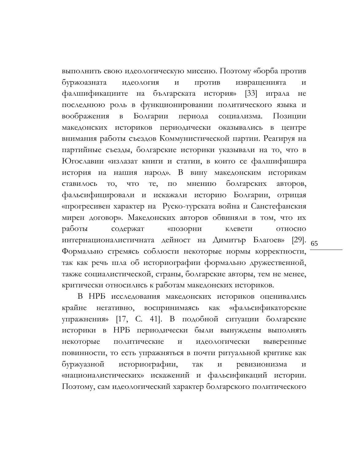$[29]$ . 65 выполнить свою идеологическую миссию. Поэтому «борба против буржоазната идеология и против извращенията и фалшификациите на българската история» [33] играла не последнюю роль в функционировании политического языка и воображения в Болгарии периода социализма. Позиции македонских историков периодически оказывались в центре внимания работы съездов Коммунистической партии. Реагируя на партийные съезды, болгарские историки указывали на то, что в Югославии «излазат книги и статии, в които се фалшифицира история на нашия народ». В вину македонским историкам ставилось то, что те, по мнению болгарских авторов, фальсифицировали и искажали историю Болгарии, отрицая «прогресивен характер на Руско-турската война и Санстефанския мирен договор». Македонских авторов обвиняли в том, что их работы содержат «позорни клевети относно интернационалистичната дейност на Димитър Благоев» Формально стремясь соблюсти некоторые нормы корректности, так как речь шла об историографии формально дружественной, также социалистической, страны, болгарские авторы, тем не менее, критически относились к работам македонских историков.

В НРБ исследования македонских историков оценивались крайне негативно, воспринимаясь как «фальсификаторские упражнения» [17, C. 41]. В подобной ситуации болгарские историки в НРБ периодически были вынуждены выполнять некоторые политические и идеологически выверенные повинности, то есть упражняться в почти ритуальной критике как буржуазной историографии, так и ревизионизма и «националистических» искажений и фальсификаций истории. Поэтому, сам идеологический характер болгарского политического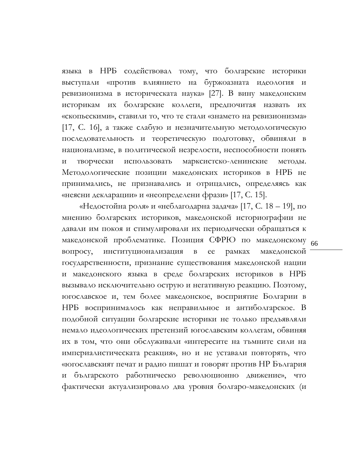языка в НРБ содействовал тому, что болгарские историки выступали «против влиянието на буржоазната идеология и ревизионизма в историческата наука» [27]. В вину македонским историкам их болгарские коллеги, предпочитая назвать их «скопьескими», ставили то, что те стали «знамето на ревизионизма» [17, C. 16], а также слабую и незначительную методологическую последовательность и теоретическую подготовку, обвиняли в национализме, в политической незрелости, неспособности понять и творчески использовать марксистско-ленинские методы. Методологические позиции македонских историков в НРБ не принимались, не признавались и отрицались, определяясь как «неясни декларации» и «неопределени фрази» [17, C. 15].

македонской проблематике. Позиция СФРЮ по македонскому <sub>66</sub> «Недостойна роля» и «неблагодарна задача» [17, C. 18 – 19], по мнению болгарских историков, македонской историографии не давали им покоя и стимулировали их периодически обращаться к вопросу, институционализация в ее рамках македонской государственности, признание существования македонской нации и македонского языка в среде болгарских историков в НРБ вызывало исключительно острую и негативную реакцию. Поэтому, югославское и, тем более македонское, восприятие Болгарии в НРБ воспринималось как неправильное и антиболгарское. В подобной ситуации болгарские историки не только предъявляли немало идеологических претензий югославским коллегам, обвиняя их в том, что они обслуживали «интересите на тъмните сили на империалистическата реакция», но и не уставали повторять, что «югославският печат и радио пишат и говорят против НР България и българското работническо революционно движение», что фактически актуализировало два уровня болгаро-македонских (и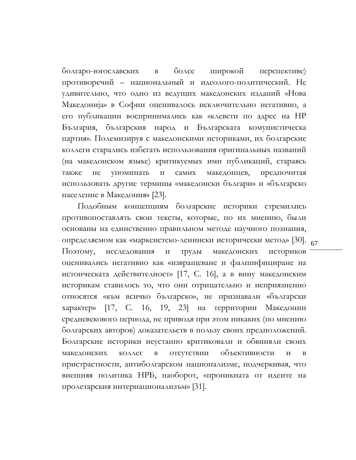болгаро-югославских в более широкой перспективе) противоречий – национальный и идеолого-политический. Не удивительно, что одно из ведущих македонских изданий «Нова Македониjа» в Софии оценивалось исключительно негативно, а его публикации воспринимались как «клевети по адрес на НР България, българския народ и Българската комунистическа партия». Полемизируя с македонскими историками, их болгарские коллеги старались избегать использования оригинальных названий (на македонском языке) критикуемых ими публикаций, стараясь также не упоминать и самих македонцев, предпочитая использовать другие термины «македонски българи» и «българско население в Македония» [23].

определяемом как «марксистско-ленински исторически метод» [30]. <sub>67</sub> Подобным концепциям болгарские историки стремились противопоставлять свои тексты, которые, по их мнению, были основаны на единственно правильном методе научного познания, Поэтому, исследования и труды македонских историков оценивались негативно как «извращеване и фалшифициране на истоическата действителност» [17, C. 16], а в вину македонским историкам ставилось то, что они отрицательно и неприязненно относятся «към всичко българско», не признавали «български характер» [17, C. 16, 19, 23] на территории Македонии средневекового периода, не приводя при этом никаких (по мнению болгарских авторов) доказательств в пользу своих предположений. Болгарские историки неустанно критиковали и обвиняли своих македонских коллег в отсутствии объективности и в пристрастности, антиболгарском национализме, подчеркивая, что внешняя политика НРБ, наоборот, «проникната от идеите на пролетарския интернационализъм» [31].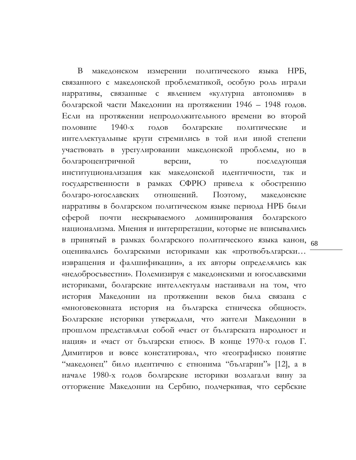в принятый в рамках болгарского политического языка канон, <sub>68</sub> В македонском измерении политического языка НРБ, связанного с македонской проблематикой, особую роль играли нарративы, связанные с явлением «културна автономия» в болгарской части Македонии на протяжении 1946 – 1948 годов. Если на протяжении непродолжительного времени во второй половине 1940-х годов болгарские политические и интеллектуальные круги стремились в той или иной степени участвовать в урегулировании македонской проблемы, но в болгароцентричной версии, то последующая институционализация как македонской идентичности, так и государственности в рамках СФРЮ привела к обострению болгаро-югославских отношений. Поэтому, македонские нарративы в болгарском политическом языке периода НРБ были сферой почти нескрываемого доминирования болгарского национализма. Мнения и интерпретации, которые не вписывались оценивались болгарскими историками как «протвобългарски… извращения и фалшификации», а их авторы определялись как «недобросъвестни». Полемизируя с македонскими и югославскими историками, болгарские интеллектуалы настаивали на том, что история Македонии на протяжении веков была связана с «многовековната история на българска етническа общност». Болгарские историки утверждали, что жители Македонии в прошлом представляли собой «част от българската народност и нация» и «част от български етнос». В конце 1970-х годов Г. Димитиров и вовсе констатировал, что «географиско понятие "македонец" било идентично с етнонима "българин"» [12], а в начале 1980-х годов болгарские историки возлагали вину за отторжение Македонии на Сербию, подчеркивая, что сербские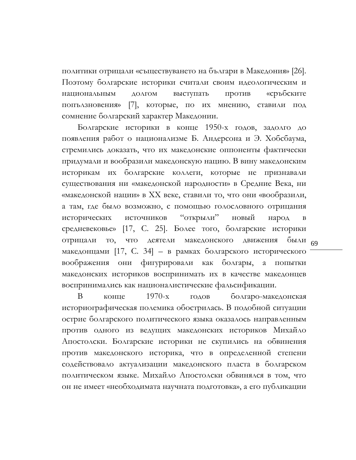политики отрицали «съществуването на българи в Македония» [26]. Поэтому болгарские историки считали своим идеологическим и национальным долгом выступать против «сръбските попълзновения» [7], которые, по их мнению, ставили под сомнение болгарский характер Македонии.

 $66$ <sub>69</sub> Болгарские историки в конце 1950-х годов, задолго до появления работ о национализме Б. Андерсона и Э. Хобсбаума, стремились доказать, что их македонские оппоненты фактически придумали и вообразили македонскую нацию. В вину македонским историкам их болгарские коллеги, которые не признавали существования ни «македонской народности» в Средние Века, ни «македонской нации» в ХХ веке, ставили то, что они «вообразили, а там, где было возможно, с помощью голословного отрицания исторических источников "открыли" новый народ средневековье» [17, C. 25]. Более того, болгарские историки отрицали то, что деятели македонского движения македонцами [17, C. 34] – в рамках болгарского исторического воображения они фигурировали как болгары, а попытки македонских историков воспринимать их в качестве македонцев воспринимались как националистические фальсификации.

В конце 1970-х годов болгаро-македонская историографическая полемика обострилась. В подобной ситуации острие болгарского политического языка оказалось направленным против одного из ведущих македонских историков Михайло Апостолски. Болгарские историки не скупились на обвинения против македонского историка, что в определенной степени содействовало актуализации македонского пласта в болгарском политическом языке. Михайло Апостолски обвинялся в том, что он не имеет «необходимата научната подготовка», а его публикации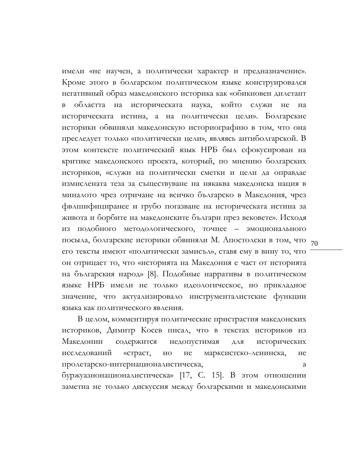посыла, болгарские историки обвиняли М. Апостолски в том, что <sub>70</sub> имели «не научен, а политически характер и предназначение». Кроме этого в болгарском политическом языке конструировался негативный образ македонского историка как «обикновен дилетант в областта на историческата наука, който служи не на историческата истина, а на политически цели». Болгарские историки обвиняли македонскую историографию в том, что она преследует только «политически цели», являясь антиболгарской. В этом контексте политический язык НРБ был сфокусирован на критике македонского проекта, который, по мнению болгарских историков, «служи на политически сметки и цели да оправдае измислената теза за съществуване на някаква македонска нация в миналото чрез отричане на всичко българско в Македония, чрез фвлшифициранее и грубо погазване на историческата истина за живота и борбите на македонските българи през вековете». Исходя из подобного методологического, точнее – эмоционального его тексты имеют «политически замисъл», ставя ему в вину то, что он отрицает то, что «историята на Македония е част от историята на българския нaрод» [8]. Подобные нарративы в политическом языке НРБ имели не только идеологическое, но прикладное значение, что актуализировало инструменталистские функции языка как политического явления.

В целом, комментируя политические пристрастия македонских историков, Димитр Косев писал, что в текстах историков из Македонии содержится недопустимая для исторических исследований «страст, но не марксистско-ленинска, не пролетарско-интернационалистическа, а буржуазнонационалистическа» [17, C. 15]. В этом отношении заметна не только дискуссия между болгарскими и македонскими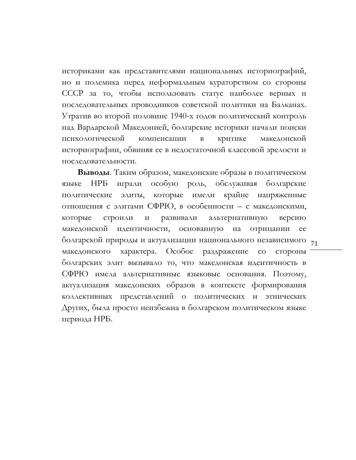историками как представителями национальных историографий, но и полемика перед неформальным кураторством со стороны СССР за то, чтобы использовать статус наиболее верных и последовательных проводников советской политики на Балканах. Утратив во второй половине 1940-х годов политический контроль над Вардарской Македонией, болгарские историки начали поиски психологической компенсации в критике македонской историографии, обвиняя ее в недостаточной классовой зрелости и последовательности.

болгарской природы и актуализации национального независимого 71 **Выводы**. Таким образом, македонские образы в политическом языке НРБ играли особую роль, обслуживая болгарские политические элиты, которые имели крайне напряженные отношения с элитами СФРЮ, в особенности – с македонскими, которые строили и развивали альтернативную версию македонской идентичности, основанную на отрицании ее македонского характера. Особое раздражение со стороны болгарских элит вызывало то, что македонская идентичность в СФРЮ имела альтернативные языковые основания. Поэтому, актуализация македонских образов в контексте формирования коллективных представлений о политических и этнических Других, была просто неизбежна в болгарском политическом языке периода НРБ.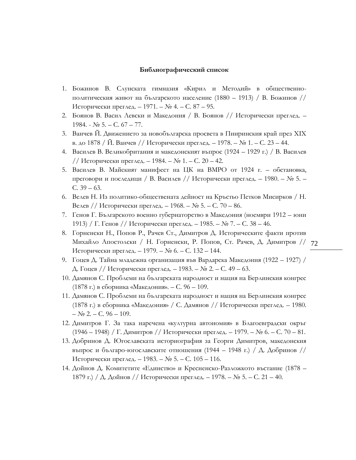#### **Библиографический список**

- 1. Божинов В. Слунската гимназия «Кирил и Методий» в общественнополитическия живот на българското население (1880 – 1913) / В. Божинов // Исторически преглед. – 1971. – № 4. – С. 87 – 95.
- 2. Боянов В. Васил Левски и Македония / В. Боянов // Исторически преглед. 1984. - № 5. – С. 67 – 77.
- 3. Ванчев Й. Движението за новобългарска просвета в Пииринския край през XIX в. до 1878 / Й. Ванчев // Исторически преглед. – 1978. – № 1. – С. 23 – 44.
- 4. Василев В. Великобритания и македонският въпрос (1924 1929 г.) / В. Василев // Исторически преглед. – 1984. –  $N_2$  1. – С. 20 – 42.
- 5. Василев В. Майският манифест на ЦК на ВМРО от 1924 г. обстановка, преговори и последици / В. Василев // Исторически преглед. – 1980. – № 5. – С. 39 – 63.
- 6. Велев Н. Из политико-обществената дейност на Кръстьо Петков Мисирков / Н. Велев // Исторически преглед. – 1968. – № 5. – С. 70 – 86.
- 7. Генов Г. Българското военно губернаторство в Македония (ноември 1912 юни 1913) / Г. Генов // Исторически преглед. – 1985. – № 7. – С. 38 – 46.
- Михайло Апостолски / Н. Горненски, Р. Попов, Ст. Рачев, Д. Димитров // 72 8. Горненски Н., Попов Р., Рачев Ст., Димитров Д. Историческите факти против Исторически преглед. – 1979. – № 6. – С. 132 – 144.
- 9. Гоцев Д. Тайна младежна организация във Вардарска Македония (1922 1927) / Д. Гоцев // Исторически преглед. – 1983. – № 2. – С. 49 – 63.
- 10. Дамянов С. Проблеми на българската народност и нация на Берлинския конгрес (1878 г.) в сборника «Македония». – С. 96 – 109.
- 11. Дамянов С. Проблеми на българската народност и нация на Берлинския конгрес (1878 г.) в сборника «Македония» / С. Дамянов // Исторически преглед. – 1980.  $-$  No 2. – C. 96 – 109.
- 12. Димитров Г. За така наречена «културна автономия» в Благоевградски окръг (1946 – 1948) / Г. Димитров // Исторически преглед. – 1979. – № 6. – С. 70 – 81.
- 13. Добринов Д. Югославската историография за Георги Димитров, македонския въпрос и българо-югославските отношения (1944 – 1948 г.) / Д. Добринов // Исторически преглед. – 1983. – № 5. – С. 105 – 116.
- 14. Дойнов Д. Комитетите «Единство» и Кресненско-Разложкото въстание (1878 1879 г.) / Д. Дойнов // Исторически преглед. – 1978. – № 5. – С. 21 – 40.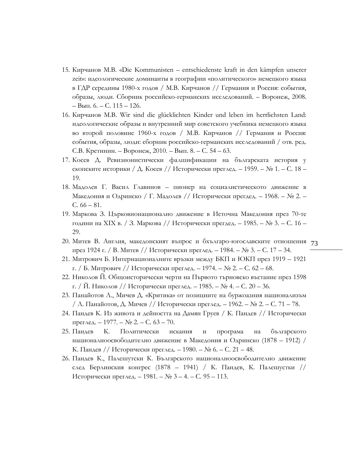- 15. Кирчанов М.В. «Die Kommunisten entschiedenste kraft in den kämpfen unserer zeit»: идеологические доминанты в географии «политического» немецкого языка в ГДР середины 1980-х годов / М.В. Кирчанов // Германия и Россия: события, образы, люди. Сборник российско-германских исследований. – Воронеж, 2008. – Вып. 6. – С. 115 – 126.
- 16. Кирчанов М.В. Wir sind die glücklichten Kinder und leben im herrlichsten Land: идеологические образы и внутренний мир советского учебника немецкого языка во второй половине 1960-х годов / М.В. Кирчанов // Германия и Россия: события, образы, люди: сборник российско-германских исследований / отв. ред. С.В. Кретинин. – Воронеж, 2010. – Вып. 8. – С. 54 – 63.
- 17. Косев Д. Ревизионистически фалшификации на българската история у скопските историки / Д. Косев // Исторически преглед. – 1959. – № 1. – С. 18 – 19.
- 18. Мадолев Г. Васил Главинов пионер на социалистическото движение в Македония и Одринско / Г. Мадолев // Исторически прегдед. – 1968. – № 2. – С. 66 – 81.
- 19. Маркова З. Църковнонационално движение в Источна Македония през 70-те години на XIX в. / З. Маркова // Исторически прегдед. – 1985. – № 3. – С. 16 – 29.
- 20. Митев В. Англия, македонският въпрос и бхългаро-югославските отношения 73 през 1924 г. / В. Митев // Исторически преглед. – 1984. – № 3. – С. 17 – 34.
- 21. Митрович Б. Интернационалните връзки между БКП и ЮКП през 1919 1921 г. / Б. Митрович // Исторически преглед. – 1974. – № 2. – С. 62 – 68.
- 22. Николов Й. Общоисторически черти на Първото търновско въстание през 1598 г. / Й. Николов // Исторически преглед. – 1985. – № 4. – С. 20 – 36.
- 23. Панайотов Л., Мичев Д. «Критика» от позициите на буржоазния национализъм / Л. Панайотов, Д. Мичев // Исторически преглед. – 1962. – № 2. – С. 71 – 78.
- 24. Пандев К. Из живота и дейността на Дамян Груев / К. Пандев // Исторически преглед. – 1977. – № 2. – С. 63 – 70.
- 25. Пандев К. Политически искания и програма на българското националноосвободително движение в Македония и Одринско (1878 – 1912) / К. Пандев // Исторически преглед. – 1980. – № 6. – С. 21 – 48.
- 26. Пандев К., Палешутски К. Българското националноосвободително движение след Берлинския конгрес (1878 – 1941) / К. Пандев, К. Палешустки // Исторически преглед. – 1981. – № 3 – 4. – С. 95 – 113.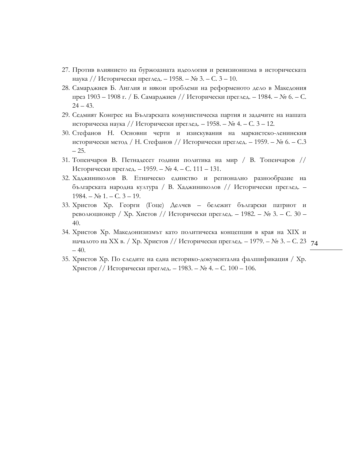- 27. Против влиянието на буржоазната идеология и ревизионизма в историческата наука // Исторически преглед. – 1958. – № 3. – С. 3 – 10.
- 28. Самарджиев Б. Англия и някои проблеми на реформеното дело в Македония през 1903 – 1908 г. / Б. Самарджиев // Исторически преглед. – 1984. – № 6. – С.  $24 - 43.$
- 29. Седмият Конгрес на Българската комунистическа партия и задачите на нашата историческа наука // Исторически преглед. – 1958. – № 4. – С. 3 – 12.
- 30. Стефанов Н. Основни черти и изискувания на маркистско-ленинския исторически метод / Н. Стефанов // Исторически преглед. – 1959. – № 6. – С.3 – 25.
- 31. Топенчаров В. Петнадесет години политика на мир / В. Топенчаров // Исторически преглед. – 1959. – № 4. – С. 111 – 131.
- 32. Хаджиниколов В. Етническо единство и регионално разнообразие на българската народна култура / В. Хаджиниколов // Исторически преглед. –  $1984. - N_2 1. - C. 3 - 19.$
- 33. Христов Хр. Георги (Гоце) Делчев бележит български патриот и революционер / Хр. Хистов // Исторически преглед. – 1982. – № 3. – С. 30 – 40.
- началото на XX в. / Хр. Христов // Исторически преглед. 1979. № 3. С. 23 74 34. Христов Хр. Македонизизмът като политическа концепция в края на XIX и  $-40.$
- 35. Христов Хр. По следите на една историко-документална фалшификация / Хр. Христов // Исторически преглед. – 1983. – № 4. – С. 100 – 106.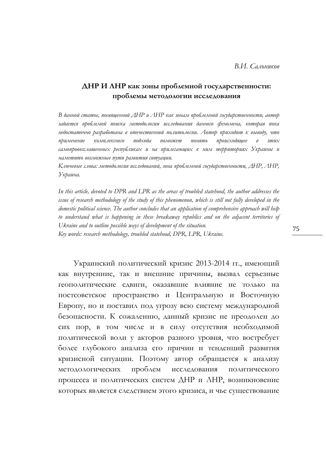# **ДНР И ЛНР как зоны проблемной государственности: проблемы методологии исследования**

*В данной статье, посвященной ДНР и ЛНР как зонам проблемной государственности, автор задается проблемой поиска методологии исследования данного феномена, которая пока недостаточно разработана в отечественной политологии. Автор приходит к выводу, что применение комплексного подхода поможет понять происходящее в этих самопровозглашенных республиках и на прилегающих к ним территориях Украины и наметить возможные пути развития ситуации.* 

*Ключевые слова: методология исследований, зона проблемной государственности, ДНР, ЛНР, Украина.*

*In this article, devoted to DPR and LPR as the areas of troubled statehood, the author addresses the issue of research methodology of the study of this phenomenon, which is still not fully developed in the domestic political science. The author concludes that an application of comprehensive approach will help to understand what is happening in these breakaway republics and on the adjacent territories of Ukraine and to outline possible ways of development of the situation. Кeу words: research methodology, troubled statehood, DPR, LPR, Ukraine.*

Украинский политический кризис 2013-2014 гг., имеющий как внутренние, так и внешние причины, вызвал серьезные геополитические сдвиги, оказавшие влияние не только на постсоветское пространство и Центральную и Восточную Европу, но и поставил под угрозу всю систему международной безопасности. К сожалению, данный кризис не преодолен до сих пор, в том числе и в силу отсутствия необходимой политической воли у акторов разного уровня, что востребует более глубокого анализа его причин и тенденций развития кризисной ситуации. Поэтому автор обращается к анализу методологических проблем исследования политического процесса и политических систем ДНР и ЛНР, возникновение которых является следствием этого кризиса, и чье существование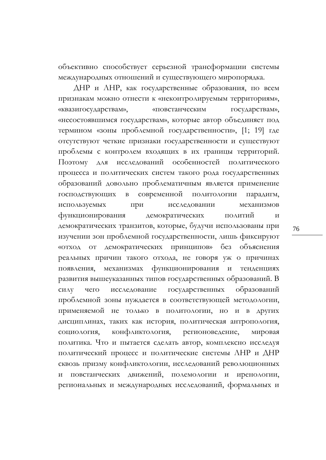объективно способствует серьезной трансформации системы международных отношений и существующего миропорядка.

ДНР и ЛНР, как государственные образования, по всем признакам можно отнести к «неконтролируемым территориям», «квазигосударствам», «повстанческим государствам», «несостоявшимся государствам», которые автор объединяет под термином «зоны проблемной государственности», [1; 19] где отсутствуют четкие признаки государственности и существуют проблемы с контролем входящих в их границы территорий. Поэтому для исследований особенностей политического процесса и политических систем такого рода государственных образований довольно проблематичным является применение господствующих в современной политологии парадигм, используемых при исследовании механизмов функционирования демократических политий и демократических транзитов, которые, будучи использованы при изучении зон проблемной государственности, лишь фиксируют «отход от демократических принципов» без объяснения реальных причин такого отхода, не говоря уж о причинах появления, механизмах функционирования и тенденциях развития вышеуказанных типов государственных образований. В силу чего исследование государственных образований проблемной зоны нуждается в соответствующей методологии, применяемой не только в политологии, но и в других дисциплинах, таких как история, политическая антропология, социология, конфликтология, регионоведение, мировая политика. Что и пытается сделать автор, комплексно исследуя политический процесс и политические системы ЛНР и ДНР сквозь призму конфликтологии, исследований революционных и повстанческих движений, полемологии и иренологии, региональных и международных исследований, формальных и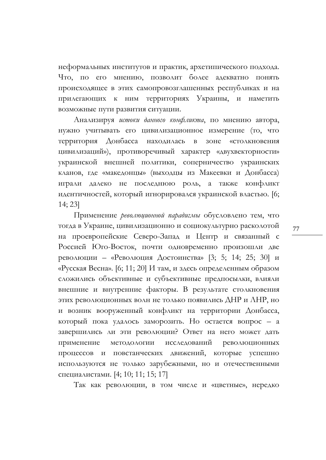неформальных институтов и практик, архетипического подхода. Что, по его мнению, позволит более адекватно понять происходящее в этих самопровозглашенных республиках и на прилегающих к ним территориях Украины, и наметить возможные пути развития ситуации.

Анализируя *истоки данного конфликта*, по мнению автора, нужно учитывать его цивилизационное измерение (то, что территория Донбасса находилась в зоне «столкновения цивилизаций»), противоречивый характер «двухвекторности» украинской внешней политики, соперничество украинских кланов, где «македонцы» (выходцы из Макеевки и Донбасса) играли далеко не последнюю роль, а также конфликт идентичностей, который игнорировался украинской властью. [6; 14; 23]

Применение *революционной парадигмы* обусловлено тем, что тогда в Украине, цивилизационно и социокультурно расколотой на проевропейские Северо-Запад и Центр и связанный с Россией Юго-Восток, почти одновременно произошли две революции – «Революция Достоинства» [3; 5; 14; 25; 30] и «Русская Весна». [6; 11; 20] И там, и здесь определенным образом сложились объективные и субъективные предпосылки, влияли внешние и внутренние факторы. В результате столкновения этих революционных волн не только появились ДНР и ЛНР, но и возник вооруженный конфликт на территории Донбасса, который пока удалось заморозить. Но остается вопрос – а завершились ли эти революции? Ответ на него может дать применение методологии исследований революционных процессов и повстанческих движений, которые успешно используются не только зарубежными, но и отечественными специалистами. [4; 10; 11; 15; 17]

Так как революции, в том числе и «цветные», нередко

77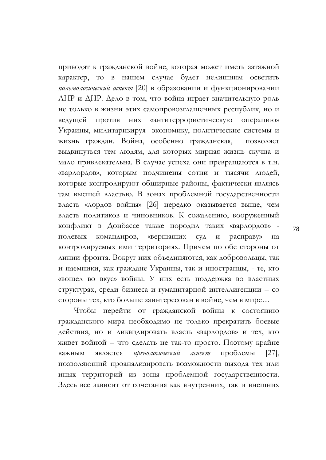приводят к гражданской войне, которая может иметь затяжной характер, то в нашем случае будет нелишним осветить *полемологический аспект* [20] в образовании и функционировании ЛНР и ДНР. Дело в том, что война играет значительную роль не только в жизни этих самопровозглашенных республик, но и ведущей против них «антитеррористическую операцию» Украины, милитаризируя экономику, политические системы и жизнь граждан. Война, особенно гражданская, позволяет выдвинуться тем людям, для которых мирная жизнь скучна и мало привлекательна. В случае успеха они превращаются в т.н. «варлордов», которым подчинены сотни и тысячи людей, которые контролируют обширные районы, фактически являясь там высшей властью. В зонах проблемной государственности власть «лордов войны» [26] нередко оказывается выше, чем власть политиков и чиновников. К сожалению, вооруженный конфликт в Донбассе также породил таких «варлордов» полевых командиров, «вершащих суд и расправу» на контролируемых ими территориях. Причем по обе стороны от линии фронта. Вокруг них объединяются, как добровольцы, так и наемники, как граждане Украины, так и иностранцы, - те, кто «вошел во вкус» войны. У них есть поддержка во властных структурах, среди бизнеса и гуманитарной интеллигенции – со стороны тех, кто больше заинтересован в войне, чем в мире…

Чтобы перейти от гражданской войны к состоянию гражданского мира необходимо не только прекратить боевые действия, но и ликвидировать власть «варлордов» и тех, кто живет войной – что сделать не так-то просто. Поэтому крайне важным является *иренологический аспект* проблемы [27], позволяющий проанализировать возможности выхода тех или иных территорий из зоны проблемной государственности. Здесь все зависит от сочетания как внутренних, так и внешних

78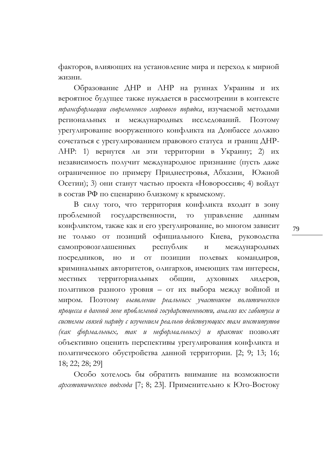факторов, влияющих на установление мира и переход к мирной жизни.

Образование ДНР и ЛНР на руинах Украины и их вероятное будущее также нуждается в рассмотрении в контексте *трансформации современного мирового порядка*, изучаемой методами региональных и международных исследований. Поэтому урегулирование вооруженного конфликта на Донбассе должно сочетаться с урегулированием правового статуса и границ ДНР-ЛНР: 1) вернутся ли эти территории в Украину; 2) их независимость получит международное признание (пусть даже ограниченное по примеру Приднестровья, Абхазии, Южной Осетии); 3) они станут частью проекта «Новороссия»; 4) войдут в состав РФ по сценарию близкому к крымскому.

В силу того, что территория конфликта входит в зону проблемной государственности, то управление данным конфликтом, также как и его урегулирование, во многом зависит не только от позиций официального Киева, руководства самопровозглашенных республик и международных посредников, но и от позиции полевых командиров, криминальных авторитетов, олигархов, имеющих там интересы, местных территориальных общин, духовных лидеров, политиков разного уровня – от их выбора между войной и миром. Поэтому *выявление реальных участников политического процесса в данной зоне проблемной государственности, анализ их габитуса и системы связей наряду с изучением реально действующих там институтов (как формальных, так и неформальных) и практик* позволят объективно оценить перспективы урегулирования конфликта и политического обустройства данной территории. [2; 9; 13; 16; 18; 22; 28; 29]

Особо хотелось бы обратить внимание на возможности *архетипического подхода* [7; 8; 23]. Применительно к Юго-Востоку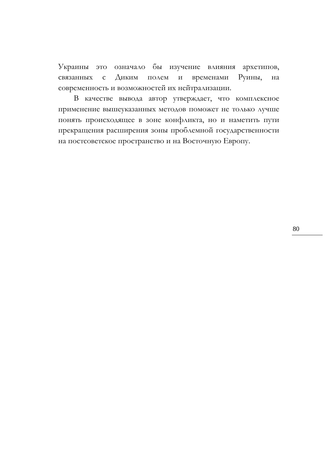Украины это означало бы изучение влияния архетипов, связанных с Диким полем и временами Руины, на современность и возможностей их нейтрализации.

В качестве вывода автор утверждает, что комплексное применение вышеуказанных методов поможет не только лучше понять происходящее в зоне конфликта, но и наметить пути прекращения расширения зоны проблемной государственности на постсоветское пространство и на Восточную Европу.

80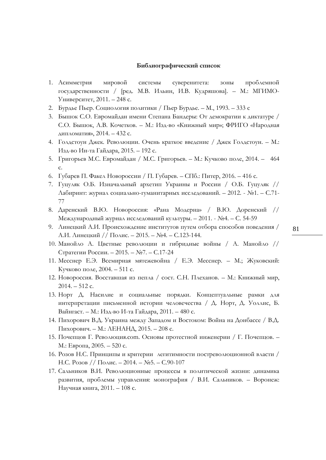#### **Библиографический список**

- 1. Асимметрия мировой системы суверенитета: зоны проблемной государственности / [ред. М.В. Ильин, И.В. Кудряшова]. – М.: МГИМО-Университет, 2011. – 248 с.
- 2. Бурдье Пьер. Социология политики / Пьер Бурдье. М., 1993. 333 с
- 3. Бышок С.О. Евромайдан имени Степана Бандеры: От демократии к диктатуре / С.О. Бышок, А.В. Кочетков. – М.: Изд-во «Книжный мир»; ФРИГО «Народная дипломатия», 2014. – 432 с.
- 4. Голдстоун Джек. Революции. Очень краткое введение / Джек Голдстоун. М.: Изд-во Ин-та Гайдара, 2015. – 192 с.
- 5. Григорьев М.С. Евромайдан / М.С. Григорьев. М.: Кучково поле, 2014. 464 с.
- 6. Губарев П. Факел Новороссии / П. Губарев. СПб.: Питер, 2016. 416 с.
- 7. Гуцуляк О.Б. Изначальный архетип Украины и России / О.Б. Гуцуляк // Лабиринт: журнал социально-гуманитарных исследований. – 2012. - №1. – С.71- 77
- 8. Даренский В.Ю. Новороссия: «Рана Модерна» / В.Ю. Доренский // Международный журнал исследований культуры. – 2011. - №4. – С. 54-59
- 9. Линецкий А.И. Происхождение институтов путем отбора способов поведения / А.И. Линецкий // Полис. – 2015. – №4. – С.123-144.
- 10. Манойло А. Цветные революции и гибридные войны / А. Манойло // Стратегии России. – 2015. – №7. – С.17-24
- 11. Месснер Е.Э. Всемирная мятежевойна / Е.Э. Месснер. М.; Жуковский: Кучково поле, 2004. – 511 с.
- 12. Новороссия. Восставшая из пепла / сост. С.Н. Плеханов. М.: Книжный мир, 2014. – 512 с.
- 13. Норт Д. Насилие и социальные порядки. Концептуальные рамки для интерпретации письменной истории человечества / Д. Норт, Д. Уоллис, Б. Вайнгаст. – М.: Изд-во И-та Гайдара, 2011. – 480 с.
- 14. Пихорович В.Д. Украина между Западом и Востоком: Война на Донбассе / В.Д. Пихорович. – М.: ЛЕНАНД, 2015. – 208 с.
- 15. Почепцов Г. Революция.com. Основы протестной инженерии / Г. Почепцов. М.: Европа, 2005. – 520 с.
- 16. Розов Н.С. Принципы и критерии легитимности постреволюционной власти / Н.С. Розов // Полис. – 2014. – №5. – С.90-107
- 17. Сальников В.И. Революционные процессы в политической жизни: динамика развития, проблемы управления: монография / В.И. Сальников. – Воронеж: Научная книга, 2011. – 108 с.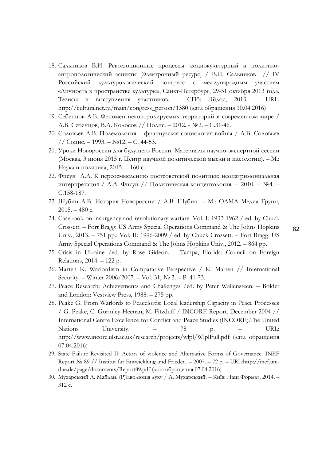- 18. Сальников В.И. Революционные процессы: социокультурный и политикоантропологический аспекты [Электронный ресурс] / В.И. Сальников // IV Российский культурологический конгресс с международным участием «Личность в пространстве культуры», Санкт-Петербург, 29-31 октября 2013 года. Тезисы и выступления участников. – СПб: Эйдос, 2013. – URL: [http://culturalnet.ru/main/congress\\_person/1380](http://culturalnet.ru/main/congress_person/1380) (дата обращения 10.04.2016)
- 19. Себенцов А.Б. Феномен неконтролируемых территорий в современном мире / А.Б. Себенцов, В.А. Колосов // Полис. – 2012. - №2. – С.31-46.
- 20. Соловьев А.В. Полемология французская социология войны / А.В. Соловьев // Социс. – 1993. – №12. – С. 44-53.
- 21. Уроки Новороссии для будущего России. Материалы научно-экспертной сессии (Москва, 3 июня 2015 г. Центр научной политической мысли и идеологии). – М.: Наука и политика, 2015. – 160 с.
- 22. Фисун А.А. К переосмыслению постсоветской политики: неопатримониальная интерпретация / А.А. Фисун // Политическая концептология. – 2010. – №4. – С.158-187.
- 23. Шубин А.В. История Новороссии / А.В. Шубин. М.: ОЛМА Медиа Групп,  $2015. - 480$  с.
- 24. Casebook on insurgency and revolutionary warfare. Vol. I: 1933-1962 / ed. by Chuck Crossett. – Fort Bragg: US Army Special Operations Command & The Johns Hopkins Univ., 2013. – 751 pp.; Vol. II: 1996-2009 / ed. by Chuck Crossett. – Fort Bragg: US Army Special Operations Command & The Johns Hopkins Univ., 2012. – 864 pp.
- 25. Crisis in Ukraine /ed. by Rose Gideon. Tampa, Florida: Council on Foreign Relations, 2014. – 122 p.
- 26. Marten K. Warlordism in Comparative Perspective / K. Marten // International Security. – Winter 2006/2007. – Vol. 31, № 3. – P. 41-73.
- 27. Peace Research: Achievements and Challenges /ed. by Peter Wallensteen. Bolder and London: Vestview Press, 1988. – 275 pp.
- 28. Peake G. From Warlords to Peacelords: Local leadership Capacity in Peace Processes / G. Peake, C. Gormley-Heenan, M. Fitzduff / INCORE Report. December 2004 // International Centre Excellence for Conflict and Peace Studies (INCORE).The United Nations University. – 78 p. – URL: <http://www.incore.ulst.ac.uk/research/projects/wlpl/WlplFull.pdf> (дата обращения 07.04.2016)
- 29. State Failure Revisited II: Actors of violence and Alternative Forms of Governance. INEF Report № 89 // Institut für Entwicklung und Frieden. – 2007. – 72 p. – URL:http://inef.unidue.de/page/documents/Report89.pdf (дата обращения 07.04.2016)
- 30. Мухарський А. Майдан. (Р)Еволюція духу / А. Мухарський. Київ: Наш Формат, 2014. 312 с.